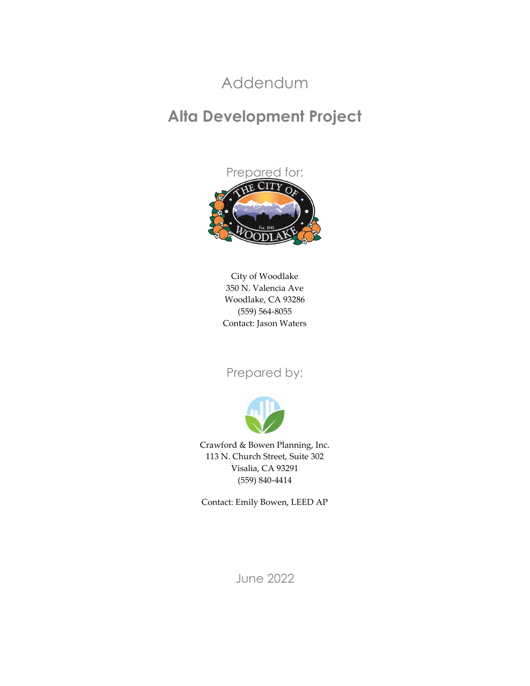### Addendum

### **Alta Development Project**



City of Woodlake 350 N. Valencia Ave Woodlake, CA 93286 (559) 564-8055 Contact: Jason Waters

#### Prepared by:



Crawford & Bowen Planning, Inc. 113 N. Church Street, Suite 302 Visalia, CA 93291 (559) 840-4414

Contact: Emily Bowen, LEED AP

June 2022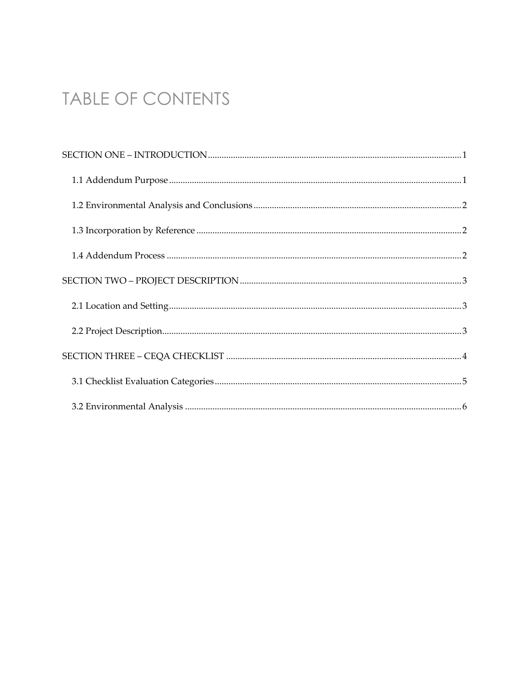## TABLE OF CONTENTS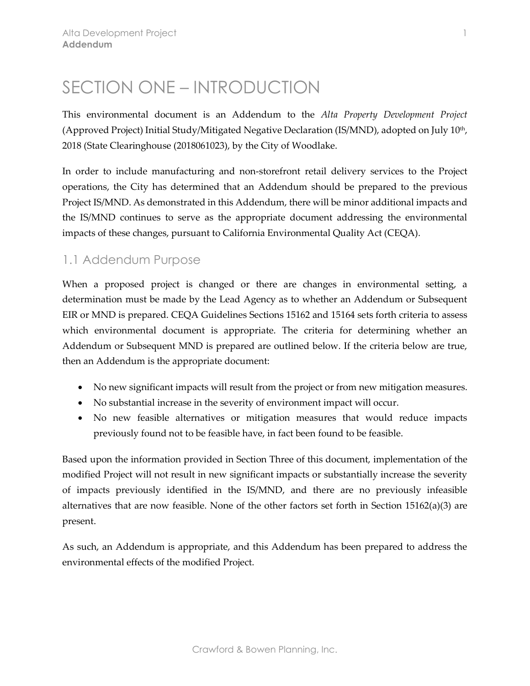## <span id="page-2-0"></span>SECTION ONE – INTRODUCTION

This environmental document is an Addendum to the *Alta Property Development Project* (Approved Project) Initial Study/Mitigated Negative Declaration (IS/MND), adopted on July 10th, 2018 (State Clearinghouse (2018061023), by the City of Woodlake.

In order to include manufacturing and non-storefront retail delivery services to the Project operations, the City has determined that an Addendum should be prepared to the previous Project IS/MND. As demonstrated in this Addendum, there will be minor additional impacts and the IS/MND continues to serve as the appropriate document addressing the environmental impacts of these changes, pursuant to California Environmental Quality Act (CEQA).

#### <span id="page-2-1"></span>1.1 Addendum Purpose

When a proposed project is changed or there are changes in environmental setting, a determination must be made by the Lead Agency as to whether an Addendum or Subsequent EIR or MND is prepared. CEQA Guidelines Sections 15162 and 15164 sets forth criteria to assess which environmental document is appropriate. The criteria for determining whether an Addendum or Subsequent MND is prepared are outlined below. If the criteria below are true, then an Addendum is the appropriate document:

- No new significant impacts will result from the project or from new mitigation measures.
- No substantial increase in the severity of environment impact will occur.
- No new feasible alternatives or mitigation measures that would reduce impacts previously found not to be feasible have, in fact been found to be feasible.

Based upon the information provided in Section Three of this document, implementation of the modified Project will not result in new significant impacts or substantially increase the severity of impacts previously identified in the IS/MND, and there are no previously infeasible alternatives that are now feasible. None of the other factors set forth in Section  $15162(a)(3)$  are present.

As such, an Addendum is appropriate, and this Addendum has been prepared to address the environmental effects of the modified Project.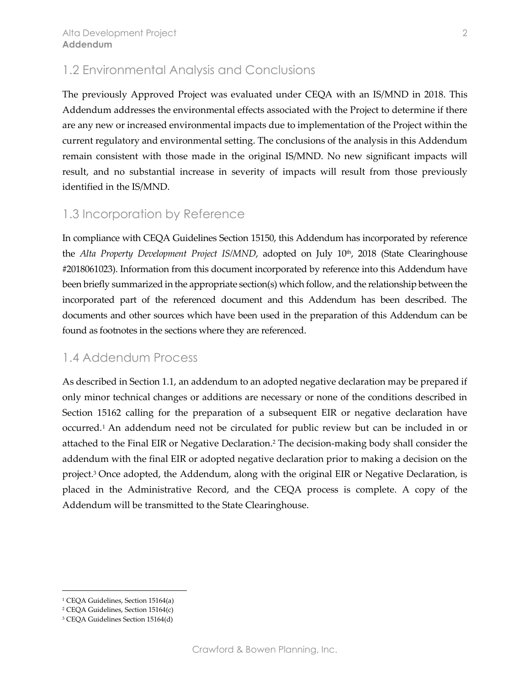#### <span id="page-3-0"></span>1.2 Environmental Analysis and Conclusions

The previously Approved Project was evaluated under CEQA with an IS/MND in 2018. This Addendum addresses the environmental effects associated with the Project to determine if there are any new or increased environmental impacts due to implementation of the Project within the current regulatory and environmental setting. The conclusions of the analysis in this Addendum remain consistent with those made in the original IS/MND. No new significant impacts will result, and no substantial increase in severity of impacts will result from those previously identified in the IS/MND.

#### <span id="page-3-1"></span>1.3 Incorporation by Reference

In compliance with CEQA Guidelines Section 15150, this Addendum has incorporated by reference the *Alta Property Development Project IS/MND*, adopted on July 10<sup>th</sup>, 2018 (State Clearinghouse #2018061023). Information from this document incorporated by reference into this Addendum have been briefly summarized in the appropriate section(s) which follow, and the relationship between the incorporated part of the referenced document and this Addendum has been described. The documents and other sources which have been used in the preparation of this Addendum can be found as footnotes in the sections where they are referenced.

#### <span id="page-3-2"></span>1.4 Addendum Process

As described in Section 1.1, an addendum to an adopted negative declaration may be prepared if only minor technical changes or additions are necessary or none of the conditions described in Section 15162 calling for the preparation of a subsequent EIR or negative declaration have occurred. <sup>1</sup> An addendum need not be circulated for public review but can be included in or attached to the Final EIR or Negative Declaration. <sup>2</sup> The decision-making body shall consider the addendum with the final EIR or adopted negative declaration prior to making a decision on the project. <sup>3</sup> Once adopted, the Addendum, along with the original EIR or Negative Declaration, is placed in the Administrative Record, and the CEQA process is complete. A copy of the Addendum will be transmitted to the State Clearinghouse.

<sup>1</sup> CEQA Guidelines, Section 15164(a)

<sup>2</sup> CEQA Guidelines, Section 15164(c)

<sup>3</sup> CEQA Guidelines Section 15164(d)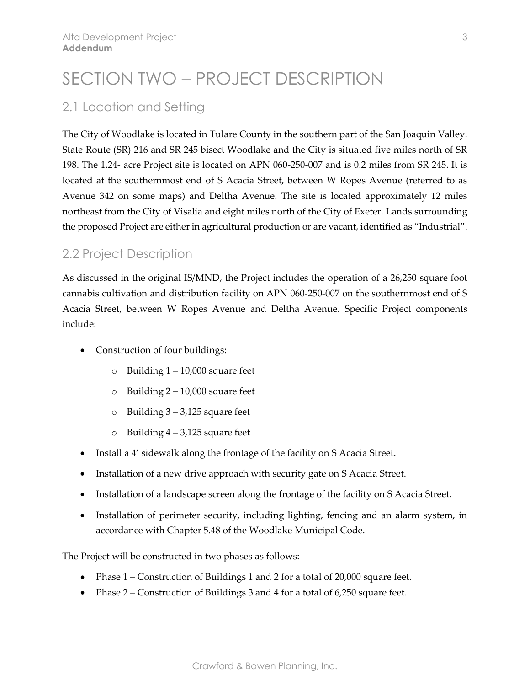## <span id="page-4-0"></span>SECTION TWO – PROJECT DESCRIPTION

#### <span id="page-4-1"></span>2.1 Location and Setting

The City of Woodlake is located in Tulare County in the southern part of the San Joaquin Valley. State Route (SR) 216 and SR 245 bisect Woodlake and the City is situated five miles north of SR 198. The 1.24- acre Project site is located on APN 060-250-007 and is 0.2 miles from SR 245. It is located at the southernmost end of S Acacia Street, between W Ropes Avenue (referred to as Avenue 342 on some maps) and Deltha Avenue. The site is located approximately 12 miles northeast from the City of Visalia and eight miles north of the City of Exeter. Lands surrounding the proposed Project are either in agricultural production or are vacant, identified as "Industrial".

#### <span id="page-4-2"></span>2.2 Project Description

As discussed in the original IS/MND, the Project includes the operation of a 26,250 square foot cannabis cultivation and distribution facility on APN 060-250-007 on the southernmost end of S Acacia Street, between W Ropes Avenue and Deltha Avenue. Specific Project components include:

- Construction of four buildings:
	- o Building 1 10,000 square feet
	- $\circ$  Building 2 10,000 square feet
	- $\circ$  Building  $3 3.125$  square feet
	- $\circ$  Building  $4 3.125$  square feet
- Install a 4' sidewalk along the frontage of the facility on S Acacia Street.
- Installation of a new drive approach with security gate on S Acacia Street.
- Installation of a landscape screen along the frontage of the facility on S Acacia Street.
- Installation of perimeter security, including lighting, fencing and an alarm system, in accordance with Chapter 5.48 of the Woodlake Municipal Code.

The Project will be constructed in two phases as follows:

- Phase 1 Construction of Buildings 1 and 2 for a total of 20,000 square feet.
- Phase 2 Construction of Buildings 3 and 4 for a total of 6,250 square feet.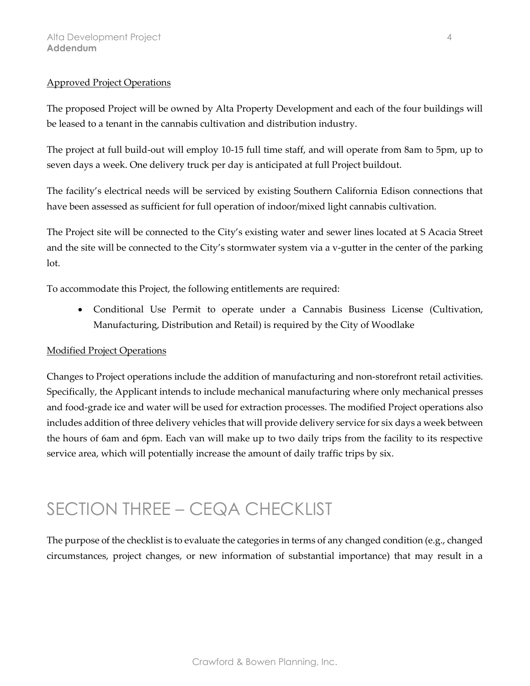#### Approved Project Operations

The proposed Project will be owned by Alta Property Development and each of the four buildings will be leased to a tenant in the cannabis cultivation and distribution industry.

The project at full build-out will employ 10-15 full time staff, and will operate from 8am to 5pm, up to seven days a week. One delivery truck per day is anticipated at full Project buildout.

The facility's electrical needs will be serviced by existing Southern California Edison connections that have been assessed as sufficient for full operation of indoor/mixed light cannabis cultivation.

The Project site will be connected to the City's existing water and sewer lines located at S Acacia Street and the site will be connected to the City's stormwater system via a v-gutter in the center of the parking lot.

To accommodate this Project, the following entitlements are required:

• Conditional Use Permit to operate under a Cannabis Business License (Cultivation, Manufacturing, Distribution and Retail) is required by the City of Woodlake

#### Modified Project Operations

Changes to Project operations include the addition of manufacturing and non-storefront retail activities. Specifically, the Applicant intends to include mechanical manufacturing where only mechanical presses and food-grade ice and water will be used for extraction processes. The modified Project operations also includes addition of three delivery vehicles that will provide delivery service for six days a week between the hours of 6am and 6pm. Each van will make up to two daily trips from the facility to its respective service area, which will potentially increase the amount of daily traffic trips by six.

### <span id="page-5-0"></span>SECTION THREE – CEQA CHECKLIST

The purpose of the checklist is to evaluate the categories in terms of any changed condition (e.g., changed circumstances, project changes, or new information of substantial importance) that may result in a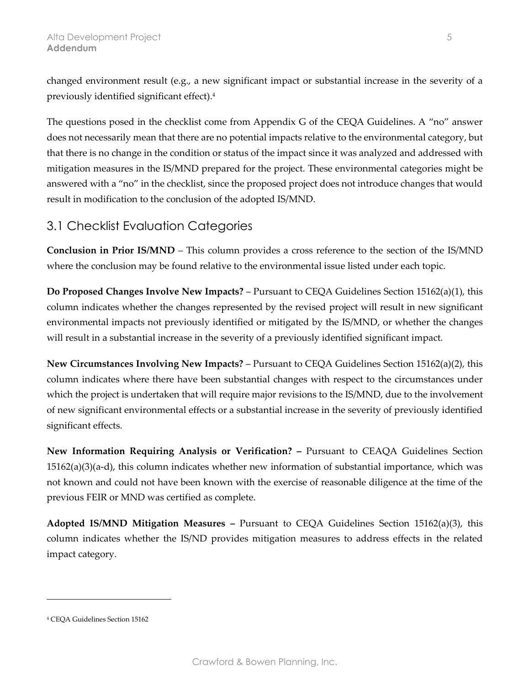changed environment result (e.g., a new significant impact or substantial increase in the severity of a previously identified significant effect). 4

The questions posed in the checklist come from Appendix G of the CEQA Guidelines. A "no" answer does not necessarily mean that there are no potential impacts relative to the environmental category, but that there is no change in the condition or status of the impact since it was analyzed and addressed with mitigation measures in the IS/MND prepared for the project. These environmental categories might be answered with a "no" in the checklist, since the proposed project does not introduce changes that would result in modification to the conclusion of the adopted IS/MND.

#### <span id="page-6-0"></span>3.1 Checklist Evaluation Categories

**Conclusion in Prior IS/MND** – This column provides a cross reference to the section of the IS/MND where the conclusion may be found relative to the environmental issue listed under each topic.

**Do Proposed Changes Involve New Impacts?** – Pursuant to CEQA Guidelines Section 15162(a)(1), this column indicates whether the changes represented by the revised project will result in new significant environmental impacts not previously identified or mitigated by the IS/MND, or whether the changes will result in a substantial increase in the severity of a previously identified significant impact.

**New Circumstances Involving New Impacts?** – Pursuant to CEQA Guidelines Section 15162(a)(2), this column indicates where there have been substantial changes with respect to the circumstances under which the project is undertaken that will require major revisions to the IS/MND, due to the involvement of new significant environmental effects or a substantial increase in the severity of previously identified significant effects.

**New Information Requiring Analysis or Verification? –** Pursuant to CEAQA Guidelines Section 15162(a)(3)(a-d), this column indicates whether new information of substantial importance, which was not known and could not have been known with the exercise of reasonable diligence at the time of the previous FEIR or MND was certified as complete.

**Adopted IS/MND Mitigation Measures –** Pursuant to CEQA Guidelines Section 15162(a)(3), this column indicates whether the IS/ND provides mitigation measures to address effects in the related impact category.

<sup>4</sup> CEQA Guidelines Section 15162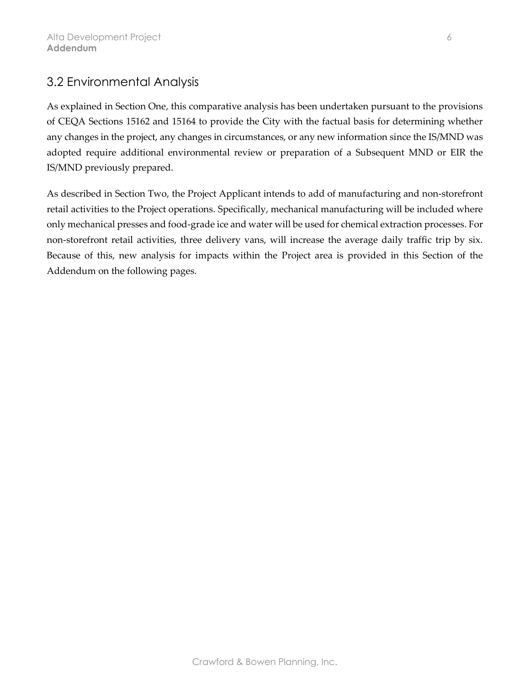#### <span id="page-7-0"></span>3.2 Environmental Analysis

As explained in Section One, this comparative analysis has been undertaken pursuant to the provisions of CEQA Sections 15162 and 15164 to provide the City with the factual basis for determining whether any changes in the project, any changes in circumstances, or any new information since the IS/MND was adopted require additional environmental review or preparation of a Subsequent MND or EIR the IS/MND previously prepared.

As described in Section Two, the Project Applicant intends to add of manufacturing and non-storefront retail activities to the Project operations. Specifically, mechanical manufacturing will be included where only mechanical presses and food-grade ice and water will be used for chemical extraction processes. For non-storefront retail activities, three delivery vans, will increase the average daily traffic trip by six. Because of this, new analysis for impacts within the Project area is provided in this Section of the Addendum on the following pages.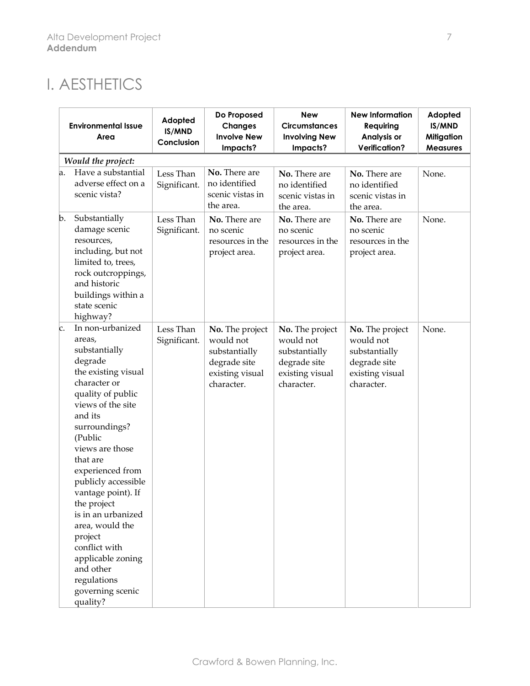## I. AESTHETICS

|    | <b>Environmental Issue</b><br>Area                                                                                                                                                                                                                                                                                                                                                                                                                  | Adopted<br>IS/MND<br>Conclusion | Do Proposed<br><b>Changes</b><br><b>Involve New</b><br>Impacts?                                | <b>New</b><br><b>Circumstances</b><br><b>Involving New</b><br>Impacts?                         | <b>New Information</b><br>Requiring<br>Analysis or<br><b>Verification?</b>                     | Adopted<br>IS/MND<br><b>Mitigation</b><br><b>Measures</b> |
|----|-----------------------------------------------------------------------------------------------------------------------------------------------------------------------------------------------------------------------------------------------------------------------------------------------------------------------------------------------------------------------------------------------------------------------------------------------------|---------------------------------|------------------------------------------------------------------------------------------------|------------------------------------------------------------------------------------------------|------------------------------------------------------------------------------------------------|-----------------------------------------------------------|
|    | Would the project:                                                                                                                                                                                                                                                                                                                                                                                                                                  |                                 |                                                                                                |                                                                                                |                                                                                                |                                                           |
| a. | Have a substantial<br>adverse effect on a<br>scenic vista?                                                                                                                                                                                                                                                                                                                                                                                          | Less Than<br>Significant.       | No. There are<br>no identified<br>scenic vistas in<br>the area.                                | No. There are<br>no identified<br>scenic vistas in<br>the area.                                | No. There are<br>no identified<br>scenic vistas in<br>the area.                                | None.                                                     |
| b. | Substantially<br>damage scenic<br>resources,<br>including, but not<br>limited to, trees,<br>rock outcroppings,<br>and historic<br>buildings within a<br>state scenic<br>highway?                                                                                                                                                                                                                                                                    | Less Than<br>Significant.       | No. There are<br>no scenic<br>resources in the<br>project area.                                | No. There are<br>no scenic<br>resources in the<br>project area.                                | No. There are<br>no scenic<br>resources in the<br>project area.                                | None.                                                     |
| c. | In non-urbanized<br>areas,<br>substantially<br>degrade<br>the existing visual<br>character or<br>quality of public<br>views of the site<br>and its<br>surroundings?<br>(Public<br>views are those<br>that are<br>experienced from<br>publicly accessible<br>vantage point). If<br>the project<br>is in an urbanized<br>area, would the<br>project<br>conflict with<br>applicable zoning<br>and other<br>regulations<br>governing scenic<br>quality? | Less Than<br>Significant.       | No. The project<br>would not<br>substantially<br>degrade site<br>existing visual<br>character. | No. The project<br>would not<br>substantially<br>degrade site<br>existing visual<br>character. | No. The project<br>would not<br>substantially<br>degrade site<br>existing visual<br>character. | None.                                                     |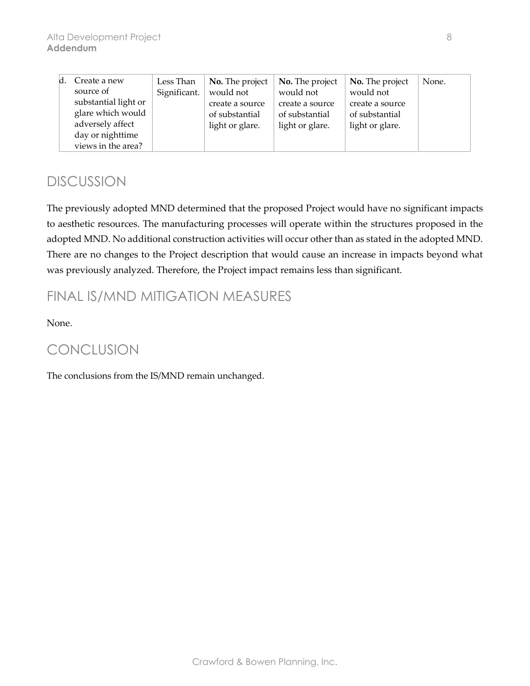| ld. | Create a new         | Less Than    | <b>No.</b> The project | <b>No.</b> The project | No. The project | None. |
|-----|----------------------|--------------|------------------------|------------------------|-----------------|-------|
|     | source of            | Significant. | would not              | would not              | would not       |       |
|     | substantial light or |              | create a source        | create a source        | create a source |       |
|     | glare which would    |              | of substantial         | of substantial         | of substantial  |       |
|     | adversely affect     |              | light or glare.        | light or glare.        | light or glare. |       |
|     | day or nighttime     |              |                        |                        |                 |       |
|     | views in the area?   |              |                        |                        |                 |       |

The previously adopted MND determined that the proposed Project would have no significant impacts to aesthetic resources. The manufacturing processes will operate within the structures proposed in the adopted MND. No additional construction activities will occur other than as stated in the adopted MND. There are no changes to the Project description that would cause an increase in impacts beyond what was previously analyzed. Therefore, the Project impact remains less than significant.

### FINAL IS/MND MITIGATION MEASURES

None.

### **CONCLUSION**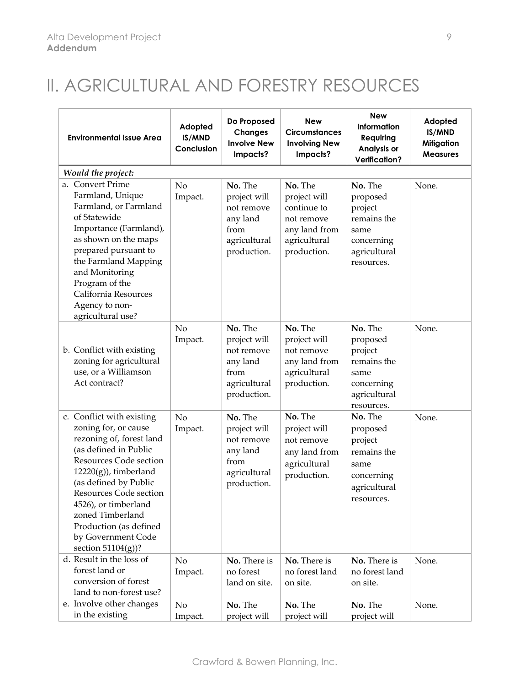# II. AGRICULTURAL AND FORESTRY RESOURCES

| <b>Environmental Issue Area</b>                                                                                                                                                                                                                                                                                                    | Adopted<br>IS/MND<br>Conclusion | Do Proposed<br><b>Changes</b><br><b>Involve New</b><br>Impacts?                          | <b>New</b><br><b>Circumstances</b><br><b>Involving New</b><br>Impacts?                               | <b>New</b><br>Information<br>Requiring<br>Analysis or<br><b>Verification?</b>                     | Adopted<br>IS/MND<br><b>Mitigation</b><br><b>Measures</b> |
|------------------------------------------------------------------------------------------------------------------------------------------------------------------------------------------------------------------------------------------------------------------------------------------------------------------------------------|---------------------------------|------------------------------------------------------------------------------------------|------------------------------------------------------------------------------------------------------|---------------------------------------------------------------------------------------------------|-----------------------------------------------------------|
| Would the project:                                                                                                                                                                                                                                                                                                                 |                                 |                                                                                          |                                                                                                      |                                                                                                   |                                                           |
| a. Convert Prime<br>Farmland, Unique<br>Farmland, or Farmland<br>of Statewide<br>Importance (Farmland),<br>as shown on the maps<br>prepared pursuant to<br>the Farmland Mapping<br>and Monitoring<br>Program of the<br>California Resources<br>Agency to non-<br>agricultural use?                                                 | No<br>Impact.                   | No. The<br>project will<br>not remove<br>any land<br>from<br>agricultural<br>production. | No. The<br>project will<br>continue to<br>not remove<br>any land from<br>agricultural<br>production. | No. The<br>proposed<br>project<br>remains the<br>same<br>concerning<br>agricultural<br>resources. | None.                                                     |
| b. Conflict with existing<br>zoning for agricultural<br>use, or a Williamson<br>Act contract?                                                                                                                                                                                                                                      | No<br>Impact.                   | No. The<br>project will<br>not remove<br>any land<br>from<br>agricultural<br>production. | No. The<br>project will<br>not remove<br>any land from<br>agricultural<br>production.                | No. The<br>proposed<br>project<br>remains the<br>same<br>concerning<br>agricultural<br>resources. | None.                                                     |
| c. Conflict with existing<br>zoning for, or cause<br>rezoning of, forest land<br>(as defined in Public<br>Resources Code section<br>$12220(g)$ , timberland<br>(as defined by Public<br>Resources Code section<br>4526), or timberland<br>zoned Timberland<br>Production (as defined<br>by Government Code<br>section $51104(g)$ ? | No<br>Impact.                   | No. The<br>project will<br>not remove<br>any land<br>from<br>agricultural<br>production. | No. The<br>project will<br>not remove<br>any land from<br>agricultural<br>production.                | No. The<br>proposed<br>project<br>remains the<br>same<br>concerning<br>agricultural<br>resources. | None.                                                     |
| d. Result in the loss of<br>forest land or<br>conversion of forest<br>land to non-forest use?                                                                                                                                                                                                                                      | No<br>Impact.                   | No. There is<br>no forest<br>land on site.                                               | No. There is<br>no forest land<br>on site.                                                           | No. There is<br>no forest land<br>on site.                                                        | None.                                                     |
| e. Involve other changes<br>in the existing                                                                                                                                                                                                                                                                                        | No<br>Impact.                   | No. The<br>project will                                                                  | No. The<br>project will                                                                              | No. The<br>project will                                                                           | None.                                                     |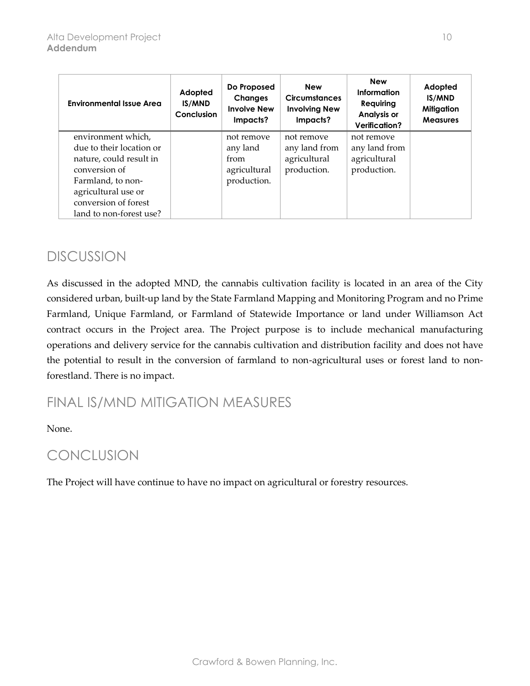| <b>Environmental Issue Area</b> | Adopted<br><b>IS/MND</b><br>Conclusion | Do Proposed<br><b>Changes</b><br><b>Involve New</b><br>Impacts? | <b>New</b><br><b>Circumstances</b><br><b>Involving New</b><br>Impacts? | <b>New</b><br>Information<br>Requiring<br><b>Analysis or</b><br>Verification? | Adopted<br>IS/MND<br><b>Mitigation</b><br><b>Measures</b> |
|---------------------------------|----------------------------------------|-----------------------------------------------------------------|------------------------------------------------------------------------|-------------------------------------------------------------------------------|-----------------------------------------------------------|
| environment which,              |                                        | not remove                                                      | not remove                                                             | not remove                                                                    |                                                           |
| due to their location or        |                                        | any land                                                        | any land from                                                          | any land from                                                                 |                                                           |
| nature, could result in         |                                        | from                                                            | agricultural                                                           | agricultural                                                                  |                                                           |
| conversion of                   |                                        | agricultural                                                    | production.                                                            | production.                                                                   |                                                           |
| Farmland, to non-               |                                        | production.                                                     |                                                                        |                                                                               |                                                           |
| agricultural use or             |                                        |                                                                 |                                                                        |                                                                               |                                                           |
| conversion of forest            |                                        |                                                                 |                                                                        |                                                                               |                                                           |
| land to non-forest use?         |                                        |                                                                 |                                                                        |                                                                               |                                                           |

As discussed in the adopted MND, the cannabis cultivation facility is located in an area of the City considered urban, built-up land by the State Farmland Mapping and Monitoring Program and no Prime Farmland, Unique Farmland, or Farmland of Statewide Importance or land under Williamson Act contract occurs in the Project area. The Project purpose is to include mechanical manufacturing operations and delivery service for the cannabis cultivation and distribution facility and does not have the potential to result in the conversion of farmland to non-agricultural uses or forest land to nonforestland. There is no impact.

### FINAL IS/MND MITIGATION MEASURES

None.

### CONCLUSION

The Project will have continue to have no impact on agricultural or forestry resources.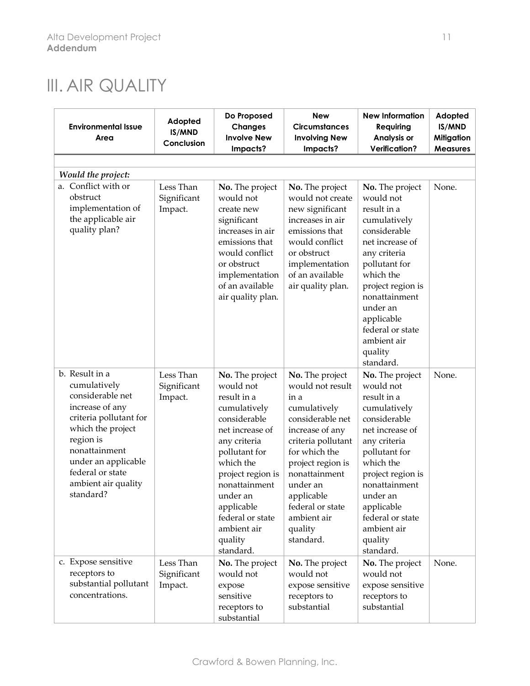# III. AIR QUALITY

| <b>Environmental Issue</b><br>Area                                                                                                                                                                                                | Adopted<br>IS/MND<br>Conclusion     | Do Proposed<br><b>Changes</b><br><b>Involve New</b><br>Impacts?                                                                                                                                                                                                         | <b>New</b><br><b>Circumstances</b><br><b>Involving New</b><br>Impacts?                                                                                                                                                                                               | <b>New Information</b><br>Requiring<br>Analysis or<br><b>Verification?</b>                                                                                                                                                                                              | Adopted<br>IS/MND<br><b>Mitigation</b><br><b>Measures</b> |
|-----------------------------------------------------------------------------------------------------------------------------------------------------------------------------------------------------------------------------------|-------------------------------------|-------------------------------------------------------------------------------------------------------------------------------------------------------------------------------------------------------------------------------------------------------------------------|----------------------------------------------------------------------------------------------------------------------------------------------------------------------------------------------------------------------------------------------------------------------|-------------------------------------------------------------------------------------------------------------------------------------------------------------------------------------------------------------------------------------------------------------------------|-----------------------------------------------------------|
|                                                                                                                                                                                                                                   |                                     |                                                                                                                                                                                                                                                                         |                                                                                                                                                                                                                                                                      |                                                                                                                                                                                                                                                                         |                                                           |
| Would the project:                                                                                                                                                                                                                |                                     |                                                                                                                                                                                                                                                                         |                                                                                                                                                                                                                                                                      |                                                                                                                                                                                                                                                                         |                                                           |
| a. Conflict with or<br>obstruct<br>implementation of<br>the applicable air<br>quality plan?                                                                                                                                       | Less Than<br>Significant<br>Impact. | No. The project<br>would not<br>create new<br>significant<br>increases in air<br>emissions that<br>would conflict<br>or obstruct<br>implementation<br>of an available<br>air quality plan.                                                                              | No. The project<br>would not create<br>new significant<br>increases in air<br>emissions that<br>would conflict<br>or obstruct<br>implementation<br>of an available<br>air quality plan.                                                                              | No. The project<br>would not<br>result in a<br>cumulatively<br>considerable<br>net increase of<br>any criteria<br>pollutant for<br>which the<br>project region is<br>nonattainment<br>under an<br>applicable<br>federal or state<br>ambient air<br>quality<br>standard. | None.                                                     |
| b. Result in a<br>cumulatively<br>considerable net<br>increase of any<br>criteria pollutant for<br>which the project<br>region is<br>nonattainment<br>under an applicable<br>federal or state<br>ambient air quality<br>standard? | Less Than<br>Significant<br>Impact. | No. The project<br>would not<br>result in a<br>cumulatively<br>considerable<br>net increase of<br>any criteria<br>pollutant for<br>which the<br>project region is<br>nonattainment<br>under an<br>applicable<br>federal or state<br>ambient air<br>quality<br>standard. | No. The project<br>would not result<br>in a<br>cumulatively<br>considerable net<br>increase of any<br>criteria pollutant<br>for which the<br>project region is<br>nonattainment<br>under an<br>applicable<br>federal or state<br>ambient air<br>quality<br>standard. | No. The project<br>would not<br>result in a<br>cumulatively<br>considerable<br>net increase of<br>any criteria<br>pollutant for<br>which the<br>project region is<br>nonattainment<br>under an<br>applicable<br>federal or state<br>ambient air<br>quality<br>standard. | None.                                                     |
| c. Expose sensitive<br>receptors to<br>substantial pollutant<br>concentrations.                                                                                                                                                   | Less Than<br>Significant<br>Impact. | No. The project<br>would not<br>expose<br>sensitive<br>receptors to<br>substantial                                                                                                                                                                                      | No. The project<br>would not<br>expose sensitive<br>receptors to<br>substantial                                                                                                                                                                                      | No. The project<br>would not<br>expose sensitive<br>receptors to<br>substantial                                                                                                                                                                                         | None.                                                     |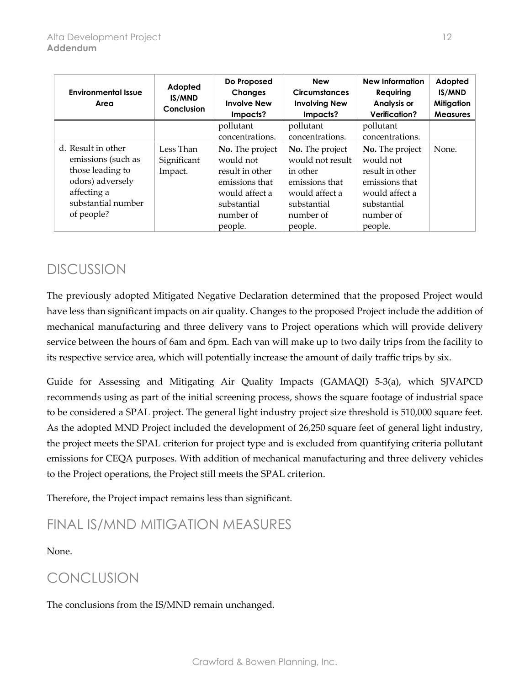| <b>Environmental Issue</b><br>Area                                                                                                  | Adopted<br><b>IS/MND</b><br>Conclusion | Do Proposed<br><b>Changes</b><br><b>Involve New</b><br>Impacts?                                                            | <b>New</b><br><b>Circumstances</b><br><b>Involving New</b><br>Impacts?                                                     | <b>New Information</b><br>Requiring<br><b>Analysis or</b><br>Verification?                                                 | Adopted<br>IS/MND<br><b>Mitigation</b><br><b>Measures</b> |
|-------------------------------------------------------------------------------------------------------------------------------------|----------------------------------------|----------------------------------------------------------------------------------------------------------------------------|----------------------------------------------------------------------------------------------------------------------------|----------------------------------------------------------------------------------------------------------------------------|-----------------------------------------------------------|
|                                                                                                                                     |                                        | pollutant<br>concentrations.                                                                                               | pollutant<br>concentrations.                                                                                               | pollutant<br>concentrations.                                                                                               |                                                           |
| d. Result in other<br>emissions (such as<br>those leading to<br>odors) adversely<br>affecting a<br>substantial number<br>of people? | Less Than<br>Significant<br>Impact.    | No. The project<br>would not<br>result in other<br>emissions that<br>would affect a<br>substantial<br>number of<br>people. | No. The project<br>would not result<br>in other<br>emissions that<br>would affect a<br>substantial<br>number of<br>people. | No. The project<br>would not<br>result in other<br>emissions that<br>would affect a<br>substantial<br>number of<br>people. | None.                                                     |

The previously adopted Mitigated Negative Declaration determined that the proposed Project would have less than significant impacts on air quality. Changes to the proposed Project include the addition of mechanical manufacturing and three delivery vans to Project operations which will provide delivery service between the hours of 6am and 6pm. Each van will make up to two daily trips from the facility to its respective service area, which will potentially increase the amount of daily traffic trips by six.

Guide for Assessing and Mitigating Air Quality Impacts (GAMAQI) 5-3(a), which SJVAPCD recommends using as part of the initial screening process, shows the square footage of industrial space to be considered a SPAL project. The general light industry project size threshold is 510,000 square feet. As the adopted MND Project included the development of 26,250 square feet of general light industry, the project meets the SPAL criterion for project type and is excluded from quantifying criteria pollutant emissions for CEQA purposes. With addition of mechanical manufacturing and three delivery vehicles to the Project operations, the Project still meets the SPAL criterion.

Therefore, the Project impact remains less than significant.

### FINAL IS/MND MITIGATION MEASURES

#### None.

### CONCLUSION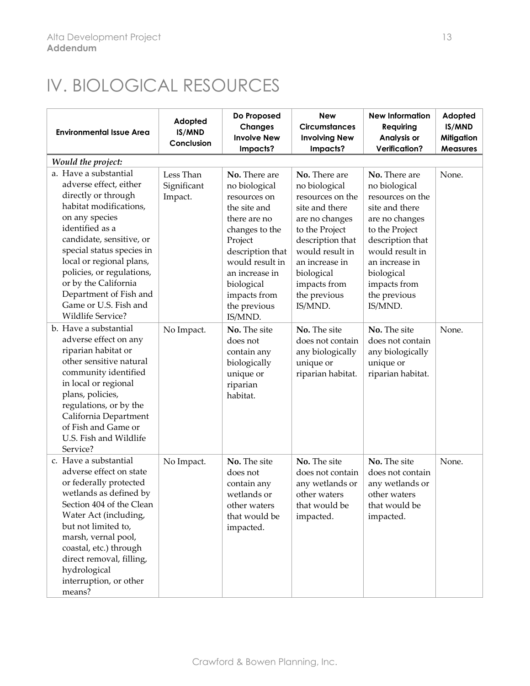# IV. BIOLOGICAL RESOURCES

| <b>Environmental Issue Area</b>                                                                                                                                                                                                                                                                                                                                | Adopted<br>IS/MND<br>Conclusion     | Do Proposed<br><b>Changes</b><br><b>Involve New</b><br>Impacts?                                                                                                                                                               | <b>New</b><br><b>Circumstances</b><br><b>Involving New</b><br>Impacts?                                                                                                                                                     | <b>New Information</b><br>Requiring<br>Analysis or<br><b>Verification?</b>                                                                                                                                                 | Adopted<br>IS/MND<br><b>Mitigation</b><br><b>Measures</b> |
|----------------------------------------------------------------------------------------------------------------------------------------------------------------------------------------------------------------------------------------------------------------------------------------------------------------------------------------------------------------|-------------------------------------|-------------------------------------------------------------------------------------------------------------------------------------------------------------------------------------------------------------------------------|----------------------------------------------------------------------------------------------------------------------------------------------------------------------------------------------------------------------------|----------------------------------------------------------------------------------------------------------------------------------------------------------------------------------------------------------------------------|-----------------------------------------------------------|
| Would the project:                                                                                                                                                                                                                                                                                                                                             |                                     |                                                                                                                                                                                                                               |                                                                                                                                                                                                                            |                                                                                                                                                                                                                            |                                                           |
| a. Have a substantial<br>adverse effect, either<br>directly or through<br>habitat modifications,<br>on any species<br>identified as a<br>candidate, sensitive, or<br>special status species in<br>local or regional plans,<br>policies, or regulations,<br>or by the California<br>Department of Fish and<br>Game or U.S. Fish and<br><b>Wildlife Service?</b> | Less Than<br>Significant<br>Impact. | No. There are<br>no biological<br>resources on<br>the site and<br>there are no<br>changes to the<br>Project<br>description that<br>would result in<br>an increase in<br>biological<br>impacts from<br>the previous<br>IS/MND. | No. There are<br>no biological<br>resources on the<br>site and there<br>are no changes<br>to the Project<br>description that<br>would result in<br>an increase in<br>biological<br>impacts from<br>the previous<br>IS/MND. | No. There are<br>no biological<br>resources on the<br>site and there<br>are no changes<br>to the Project<br>description that<br>would result in<br>an increase in<br>biological<br>impacts from<br>the previous<br>IS/MND. | None.                                                     |
| b. Have a substantial<br>adverse effect on any<br>riparian habitat or<br>other sensitive natural<br>community identified<br>in local or regional<br>plans, policies,<br>regulations, or by the<br>California Department<br>of Fish and Game or<br>U.S. Fish and Wildlife<br>Service?                                                                           | No Impact.                          | No. The site<br>does not<br>contain any<br>biologically<br>unique or<br>riparian<br>habitat.                                                                                                                                  | No. The site<br>does not contain<br>any biologically<br>unique or<br>riparian habitat.                                                                                                                                     | No. The site<br>does not contain<br>any biologically<br>unique or<br>riparian habitat.                                                                                                                                     | None.                                                     |
| c. Have a substantial<br>adverse effect on state<br>or federally protected<br>wetlands as defined by<br>Section 404 of the Clean<br>Water Act (including,<br>but not limited to,<br>marsh, vernal pool,<br>coastal, etc.) through<br>direct removal, filling,<br>hydrological<br>interruption, or other<br>means?                                              | No Impact.                          | No. The site<br>does not<br>contain any<br>wetlands or<br>other waters<br>that would be<br>impacted.                                                                                                                          | No. The site<br>does not contain<br>any wetlands or<br>other waters<br>that would be<br>impacted.                                                                                                                          | No. The site<br>does not contain<br>any wetlands or<br>other waters<br>that would be<br>impacted.                                                                                                                          | None.                                                     |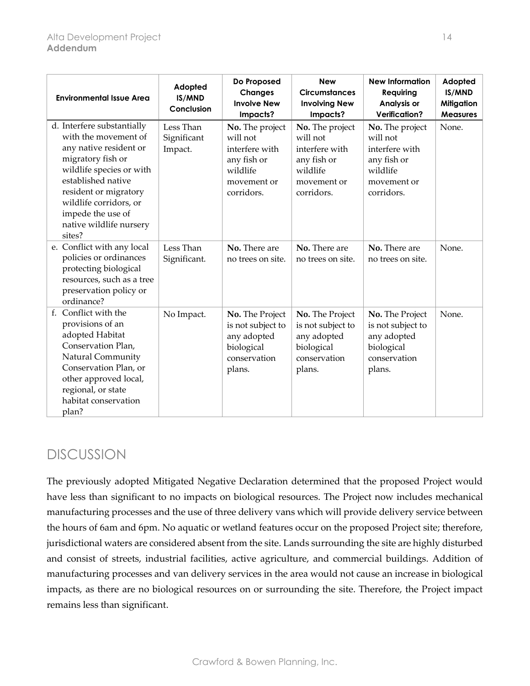| <b>Environmental Issue Area</b>                                                                                                                                                                                                                                  | Adopted<br>IS/MND<br>Conclusion     | Do Proposed<br><b>Changes</b><br><b>Involve New</b><br>Impacts?                                       | <b>New</b><br><b>Circumstances</b><br><b>Involving New</b><br>Impacts?                                | <b>New Information</b><br>Requiring<br>Analysis or<br><b>Verification?</b>                            | Adopted<br>IS/MND<br><b>Mitigation</b><br><b>Measures</b> |
|------------------------------------------------------------------------------------------------------------------------------------------------------------------------------------------------------------------------------------------------------------------|-------------------------------------|-------------------------------------------------------------------------------------------------------|-------------------------------------------------------------------------------------------------------|-------------------------------------------------------------------------------------------------------|-----------------------------------------------------------|
| d. Interfere substantially<br>with the movement of<br>any native resident or<br>migratory fish or<br>wildlife species or with<br>established native<br>resident or migratory<br>wildlife corridors, or<br>impede the use of<br>native wildlife nursery<br>sites? | Less Than<br>Significant<br>Impact. | No. The project<br>will not<br>interfere with<br>any fish or<br>wildlife<br>movement or<br>corridors. | No. The project<br>will not<br>interfere with<br>any fish or<br>wildlife<br>movement or<br>corridors. | No. The project<br>will not<br>interfere with<br>any fish or<br>wildlife<br>movement or<br>corridors. | None.                                                     |
| e. Conflict with any local<br>policies or ordinances<br>protecting biological<br>resources, such as a tree<br>preservation policy or<br>ordinance?                                                                                                               | Less Than<br>Significant.           | No. There are<br>no trees on site.                                                                    | No. There are<br>no trees on site.                                                                    | No. There are<br>no trees on site.                                                                    | None.                                                     |
| Conflict with the<br>$f_{\rm{r}}$<br>provisions of an<br>adopted Habitat<br>Conservation Plan,<br>Natural Community<br>Conservation Plan, or<br>other approved local,<br>regional, or state<br>habitat conservation<br>plan?                                     | No Impact.                          | No. The Project<br>is not subject to<br>any adopted<br>biological<br>conservation<br>plans.           | No. The Project<br>is not subject to<br>any adopted<br>biological<br>conservation<br>plans.           | No. The Project<br>is not subject to<br>any adopted<br>biological<br>conservation<br>plans.           | None.                                                     |

The previously adopted Mitigated Negative Declaration determined that the proposed Project would have less than significant to no impacts on biological resources. The Project now includes mechanical manufacturing processes and the use of three delivery vans which will provide delivery service between the hours of 6am and 6pm. No aquatic or wetland features occur on the proposed Project site; therefore, jurisdictional waters are considered absent from the site. Lands surrounding the site are highly disturbed and consist of streets, industrial facilities, active agriculture, and commercial buildings. Addition of manufacturing processes and van delivery services in the area would not cause an increase in biological impacts, as there are no biological resources on or surrounding the site. Therefore, the Project impact remains less than significant.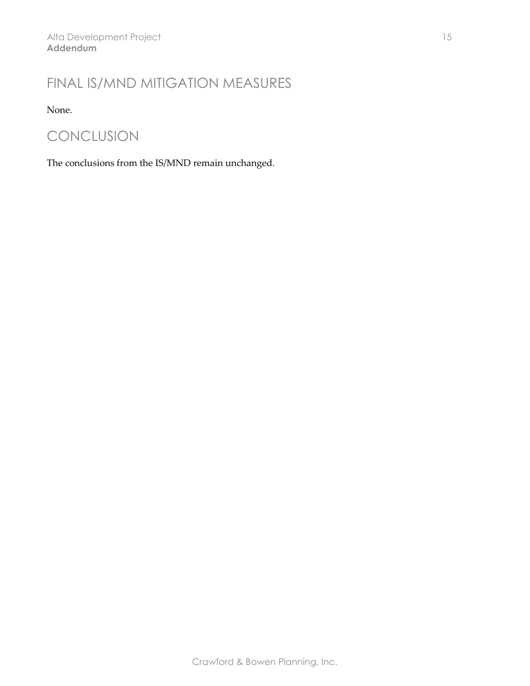### FINAL IS/MND MITIGATION MEASURES

None.

### CONCLUSION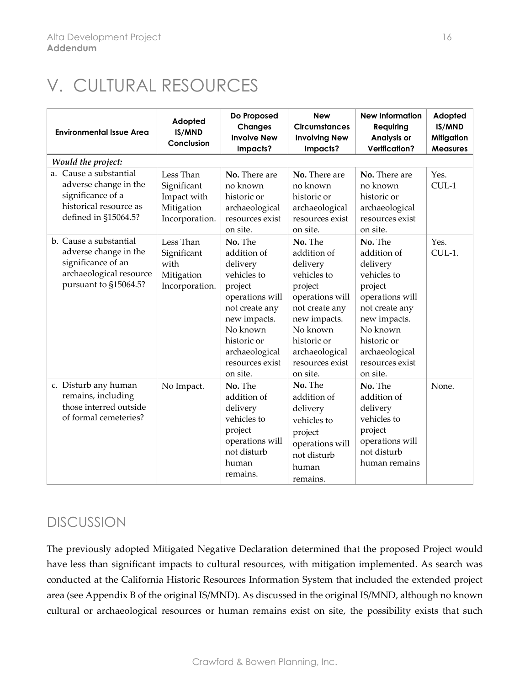# V. CULTURAL RESOURCES

| <b>Environmental Issue Area</b>                                                                                           | Adopted<br>IS/MND<br>Conclusion                                         | Do Proposed<br><b>Changes</b><br><b>Involve New</b><br>Impacts?                                                                                                                               | <b>New</b><br><b>Circumstances</b><br><b>Involving New</b><br>Impacts?                                                                                                                        | <b>New Information</b><br><b>Requiring</b><br>Analysis or<br><b>Verification?</b>                                                                                                             | Adopted<br><b>IS/MND</b><br><b>Mitigation</b><br><b>Measures</b> |
|---------------------------------------------------------------------------------------------------------------------------|-------------------------------------------------------------------------|-----------------------------------------------------------------------------------------------------------------------------------------------------------------------------------------------|-----------------------------------------------------------------------------------------------------------------------------------------------------------------------------------------------|-----------------------------------------------------------------------------------------------------------------------------------------------------------------------------------------------|------------------------------------------------------------------|
| Would the project:                                                                                                        |                                                                         |                                                                                                                                                                                               |                                                                                                                                                                                               |                                                                                                                                                                                               |                                                                  |
| a. Cause a substantial<br>adverse change in the<br>significance of a<br>historical resource as<br>defined in §15064.5?    | Less Than<br>Significant<br>Impact with<br>Mitigation<br>Incorporation. | No. There are<br>no known<br>historic or<br>archaeological<br>resources exist<br>on site.                                                                                                     | No. There are<br>no known<br>historic or<br>archaeological<br>resources exist<br>on site.                                                                                                     | No. There are<br>no known<br>historic or<br>archaeological<br>resources exist<br>on site.                                                                                                     | Yes.<br>$CUL-1$                                                  |
| b. Cause a substantial<br>adverse change in the<br>significance of an<br>archaeological resource<br>pursuant to §15064.5? | Less Than<br>Significant<br>with<br>Mitigation<br>Incorporation.        | No. The<br>addition of<br>delivery<br>vehicles to<br>project<br>operations will<br>not create any<br>new impacts.<br>No known<br>historic or<br>archaeological<br>resources exist<br>on site. | No. The<br>addition of<br>delivery<br>vehicles to<br>project<br>operations will<br>not create any<br>new impacts.<br>No known<br>historic or<br>archaeological<br>resources exist<br>on site. | No. The<br>addition of<br>delivery<br>vehicles to<br>project<br>operations will<br>not create any<br>new impacts.<br>No known<br>historic or<br>archaeological<br>resources exist<br>on site. | Yes.<br>CUL-1.                                                   |
| c. Disturb any human<br>remains, including<br>those interred outside<br>of formal cemeteries?                             | No Impact.                                                              | No. The<br>addition of<br>delivery<br>vehicles to<br>project<br>operations will<br>not disturb<br>human<br>remains.                                                                           | No. The<br>addition of<br>delivery<br>vehicles to<br>project<br>operations will<br>not disturb<br>human<br>remains.                                                                           | No. The<br>addition of<br>delivery<br>vehicles to<br>project<br>operations will<br>not disturb<br>human remains                                                                               | None.                                                            |

### DISCUSSION

The previously adopted Mitigated Negative Declaration determined that the proposed Project would have less than significant impacts to cultural resources, with mitigation implemented. As search was conducted at the California Historic Resources Information System that included the extended project area (see Appendix B of the original IS/MND). As discussed in the original IS/MND, although no known cultural or archaeological resources or human remains exist on site, the possibility exists that such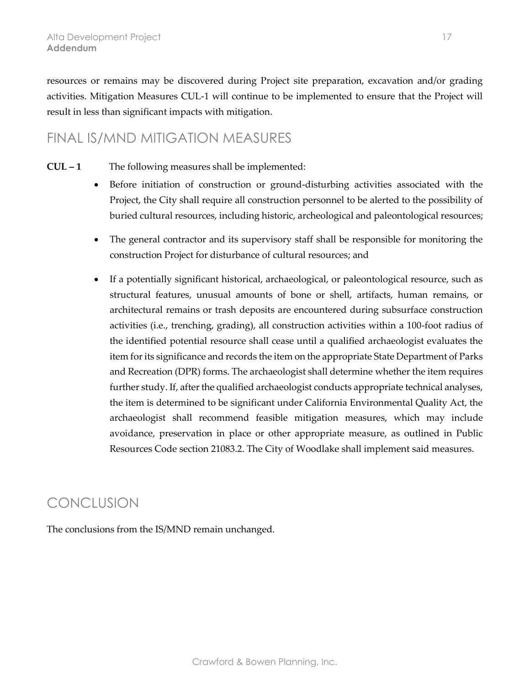resources or remains may be discovered during Project site preparation, excavation and/or grading activities. Mitigation Measures CUL-1 will continue to be implemented to ensure that the Project will result in less than significant impacts with mitigation.

#### FINAL IS/MND MITIGATION MEASURES

- **CUL – 1** The following measures shall be implemented:
	- Before initiation of construction or ground-disturbing activities associated with the Project, the City shall require all construction personnel to be alerted to the possibility of buried cultural resources, including historic, archeological and paleontological resources;
	- The general contractor and its supervisory staff shall be responsible for monitoring the construction Project for disturbance of cultural resources; and
	- If a potentially significant historical, archaeological, or paleontological resource, such as structural features, unusual amounts of bone or shell, artifacts, human remains, or architectural remains or trash deposits are encountered during subsurface construction activities (i.e., trenching, grading), all construction activities within a 100-foot radius of the identified potential resource shall cease until a qualified archaeologist evaluates the item for its significance and records the item on the appropriate State Department of Parks and Recreation (DPR) forms. The archaeologist shall determine whether the item requires further study. If, after the qualified archaeologist conducts appropriate technical analyses, the item is determined to be significant under California Environmental Quality Act, the archaeologist shall recommend feasible mitigation measures, which may include avoidance, preservation in place or other appropriate measure, as outlined in Public Resources Code section 21083.2. The City of Woodlake shall implement said measures.

### **CONCLUSION**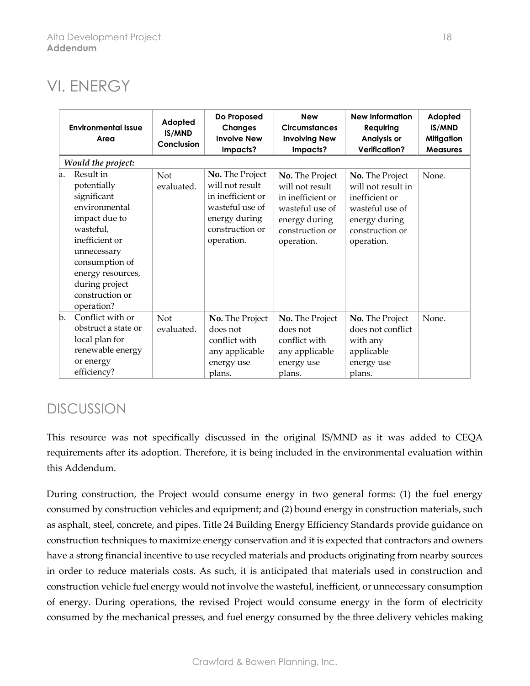### VI. ENERGY

|    | <b>Environmental Issue</b><br>Area                                                                                                                                                                                | Adopted<br>IS/MND<br>Conclusion | Do Proposed<br><b>Changes</b><br><b>Involve New</b><br>Impacts?                                                              | <b>New</b><br><b>Circumstances</b><br><b>Involving New</b><br>Impacts?                                                       | <b>New Information</b><br>Requiring<br>Analysis or<br><b>Verification?</b>                                                   | Adopted<br>IS/MND<br><b>Mitigation</b><br><b>Measures</b> |
|----|-------------------------------------------------------------------------------------------------------------------------------------------------------------------------------------------------------------------|---------------------------------|------------------------------------------------------------------------------------------------------------------------------|------------------------------------------------------------------------------------------------------------------------------|------------------------------------------------------------------------------------------------------------------------------|-----------------------------------------------------------|
|    | Would the project:                                                                                                                                                                                                |                                 |                                                                                                                              |                                                                                                                              |                                                                                                                              |                                                           |
| a. | Result in<br>potentially<br>significant<br>environmental<br>impact due to<br>wasteful,<br>inefficient or<br>unnecessary<br>consumption of<br>energy resources,<br>during project<br>construction or<br>operation? | <b>Not</b><br>evaluated.        | No. The Project<br>will not result<br>in inefficient or<br>wasteful use of<br>energy during<br>construction or<br>operation. | No. The Project<br>will not result<br>in inefficient or<br>wasteful use of<br>energy during<br>construction or<br>operation. | No. The Project<br>will not result in<br>inefficient or<br>wasteful use of<br>energy during<br>construction or<br>operation. | None.                                                     |
| b. | Conflict with or<br>obstruct a state or<br>local plan for<br>renewable energy<br>or energy<br>efficiency?                                                                                                         | Not<br>evaluated.               | No. The Project<br>does not<br>conflict with<br>any applicable<br>energy use<br>plans.                                       | No. The Project<br>does not<br>conflict with<br>any applicable<br>energy use<br>plans.                                       | No. The Project<br>does not conflict<br>with any<br>applicable<br>energy use<br>plans.                                       | None.                                                     |

### **DISCUSSION**

This resource was not specifically discussed in the original IS/MND as it was added to CEQA requirements after its adoption. Therefore, it is being included in the environmental evaluation within this Addendum.

During construction, the Project would consume energy in two general forms: (1) the fuel energy consumed by construction vehicles and equipment; and (2) bound energy in construction materials, such as asphalt, steel, concrete, and pipes. Title 24 Building Energy Efficiency Standards provide guidance on construction techniques to maximize energy conservation and it is expected that contractors and owners have a strong financial incentive to use recycled materials and products originating from nearby sources in order to reduce materials costs. As such, it is anticipated that materials used in construction and construction vehicle fuel energy would not involve the wasteful, inefficient, or unnecessary consumption of energy. During operations, the revised Project would consume energy in the form of electricity consumed by the mechanical presses, and fuel energy consumed by the three delivery vehicles making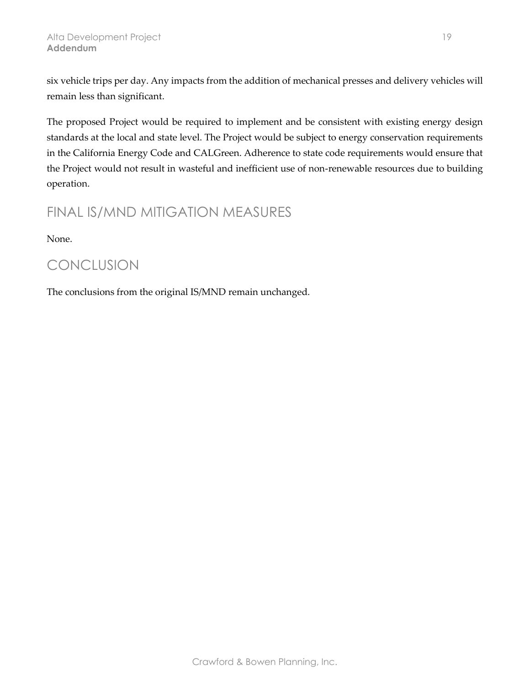six vehicle trips per day. Any impacts from the addition of mechanical presses and delivery vehicles will remain less than significant.

The proposed Project would be required to implement and be consistent with existing energy design standards at the local and state level. The Project would be subject to energy conservation requirements in the California Energy Code and CALGreen. Adherence to state code requirements would ensure that the Project would not result in wasteful and inefficient use of non-renewable resources due to building operation.

### FINAL IS/MND MITIGATION MEASURES

None.

### **CONCLUSION**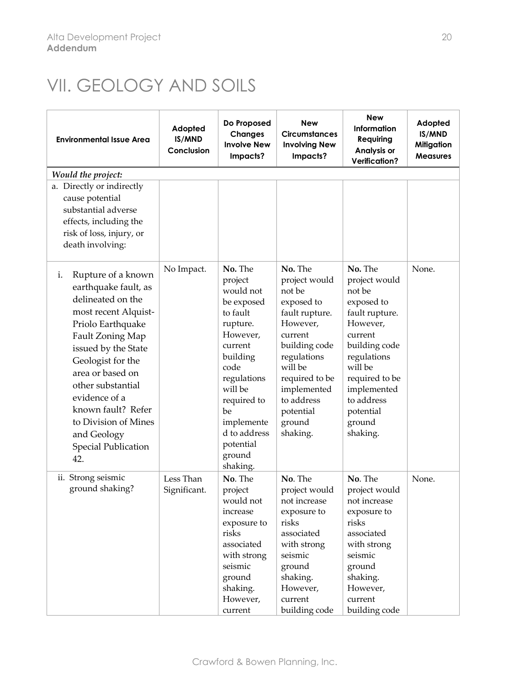## VII. GEOLOGY AND SOILS

| <b>Environmental Issue Area</b>                                                                                                                                                                                                                                                                                                                | Adopted<br>IS/MND<br>Conclusion | Do Proposed<br><b>Changes</b><br><b>Involve New</b><br>Impacts?                                                                                                                                                                  | <b>New</b><br><b>Circumstances</b><br><b>Involving New</b><br>Impacts?                                                                                                                                                 | <b>New</b><br>Information<br>Requiring<br>Analysis or<br><b>Verification?</b>                                                                                                                                          | Adopted<br>IS/MND<br><b>Mitigation</b><br><b>Measures</b> |
|------------------------------------------------------------------------------------------------------------------------------------------------------------------------------------------------------------------------------------------------------------------------------------------------------------------------------------------------|---------------------------------|----------------------------------------------------------------------------------------------------------------------------------------------------------------------------------------------------------------------------------|------------------------------------------------------------------------------------------------------------------------------------------------------------------------------------------------------------------------|------------------------------------------------------------------------------------------------------------------------------------------------------------------------------------------------------------------------|-----------------------------------------------------------|
| Would the project:                                                                                                                                                                                                                                                                                                                             |                                 |                                                                                                                                                                                                                                  |                                                                                                                                                                                                                        |                                                                                                                                                                                                                        |                                                           |
| a. Directly or indirectly<br>cause potential<br>substantial adverse<br>effects, including the<br>risk of loss, injury, or<br>death involving:                                                                                                                                                                                                  |                                 |                                                                                                                                                                                                                                  |                                                                                                                                                                                                                        |                                                                                                                                                                                                                        |                                                           |
| Rupture of a known<br>i.<br>earthquake fault, as<br>delineated on the<br>most recent Alquist-<br>Priolo Earthquake<br>Fault Zoning Map<br>issued by the State<br>Geologist for the<br>area or based on<br>other substantial<br>evidence of a<br>known fault? Refer<br>to Division of Mines<br>and Geology<br><b>Special Publication</b><br>42. | No Impact.                      | No. The<br>project<br>would not<br>be exposed<br>to fault<br>rupture.<br>However,<br>current<br>building<br>code<br>regulations<br>will be<br>required to<br>be<br>implemente<br>d to address<br>potential<br>ground<br>shaking. | No. The<br>project would<br>not be<br>exposed to<br>fault rupture.<br>However,<br>current<br>building code<br>regulations<br>will be<br>required to be<br>implemented<br>to address<br>potential<br>ground<br>shaking. | No. The<br>project would<br>not be<br>exposed to<br>fault rupture.<br>However,<br>current<br>building code<br>regulations<br>will be<br>required to be<br>implemented<br>to address<br>potential<br>ground<br>shaking. | None.                                                     |
| ii. Strong seismic<br>ground shaking?                                                                                                                                                                                                                                                                                                          | Less Than<br>Significant.       | No. The<br>project<br>would not<br>increase<br>exposure to<br>risks<br>associated<br>with strong<br>seismic<br>ground<br>shaking.<br>However,<br>current                                                                         | No. The<br>project would<br>not increase<br>exposure to<br>risks<br>associated<br>with strong<br>seismic<br>ground<br>shaking.<br>However,<br>current<br>building code                                                 | No. The<br>project would<br>not increase<br>exposure to<br>risks<br>associated<br>with strong<br>seismic<br>ground<br>shaking.<br>However,<br>current<br>building code                                                 | None.                                                     |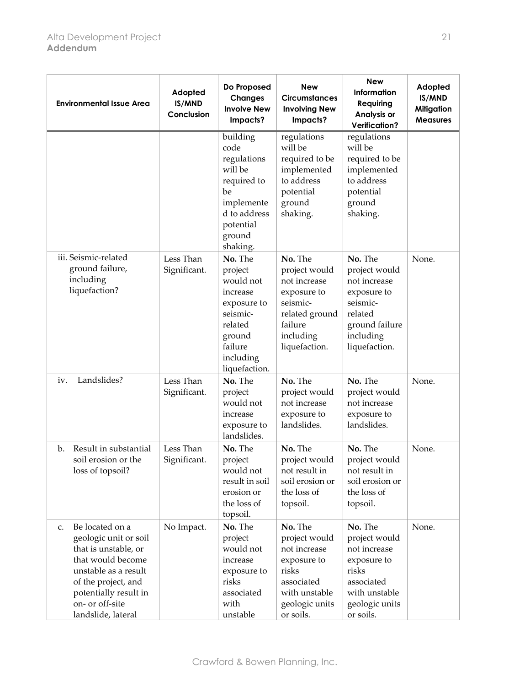| <b>Environmental Issue Area</b>                                                                                                                                                                              | Adopted<br>IS/MND<br>Conclusion | Do Proposed<br><b>Changes</b><br><b>Involve New</b><br>Impacts?                                                                      | <b>New</b><br><b>Circumstances</b><br><b>Involving New</b><br>Impacts?                                                         | <b>New</b><br>Information<br>Requiring<br>Analysis or<br><b>Verification?</b>                                                  | Adopted<br>IS/MND<br><b>Mitigation</b><br><b>Measures</b> |
|--------------------------------------------------------------------------------------------------------------------------------------------------------------------------------------------------------------|---------------------------------|--------------------------------------------------------------------------------------------------------------------------------------|--------------------------------------------------------------------------------------------------------------------------------|--------------------------------------------------------------------------------------------------------------------------------|-----------------------------------------------------------|
|                                                                                                                                                                                                              |                                 | building<br>code<br>regulations<br>will be<br>required to<br>be<br>implemente<br>d to address<br>potential<br>ground<br>shaking.     | regulations<br>will be<br>required to be<br>implemented<br>to address<br>potential<br>ground<br>shaking.                       | regulations<br>will be<br>required to be<br>implemented<br>to address<br>potential<br>ground<br>shaking.                       |                                                           |
| iii. Seismic-related<br>ground failure,<br>including<br>liquefaction?                                                                                                                                        | Less Than<br>Significant.       | No. The<br>project<br>would not<br>increase<br>exposure to<br>seismic-<br>related<br>ground<br>failure<br>including<br>liquefaction. | No. The<br>project would<br>not increase<br>exposure to<br>seismic-<br>related ground<br>failure<br>including<br>liquefaction. | No. The<br>project would<br>not increase<br>exposure to<br>seismic-<br>related<br>ground failure<br>including<br>liquefaction. | None.                                                     |
| Landslides?<br>iv.                                                                                                                                                                                           | Less Than<br>Significant.       | No. The<br>project<br>would not<br>increase<br>exposure to<br>landslides.                                                            | No. The<br>project would<br>not increase<br>exposure to<br>landslides.                                                         | No. The<br>project would<br>not increase<br>exposure to<br>landslides.                                                         | None.                                                     |
| Result in substantial<br>$\mathbf{b}$ .<br>soil erosion or the<br>loss of topsoil?                                                                                                                           | Less Than<br>Significant.       | No. The<br>project<br>would not<br>result in soil<br>erosion or<br>the loss of<br>topsoil.                                           | No. The<br>project would<br>not result in<br>soil erosion or<br>the loss of<br>topsoil.                                        | No. The<br>project would<br>not result in<br>soil erosion or<br>the loss of<br>topsoil.                                        | None.                                                     |
| Be located on a<br>c.<br>geologic unit or soil<br>that is unstable, or<br>that would become<br>unstable as a result<br>of the project, and<br>potentially result in<br>on- or off-site<br>landslide, lateral | No Impact.                      | No. The<br>project<br>would not<br>increase<br>exposure to<br>risks<br>associated<br>with<br>unstable                                | No. The<br>project would<br>not increase<br>exposure to<br>risks<br>associated<br>with unstable<br>geologic units<br>or soils. | No. The<br>project would<br>not increase<br>exposure to<br>risks<br>associated<br>with unstable<br>geologic units<br>or soils. | None.                                                     |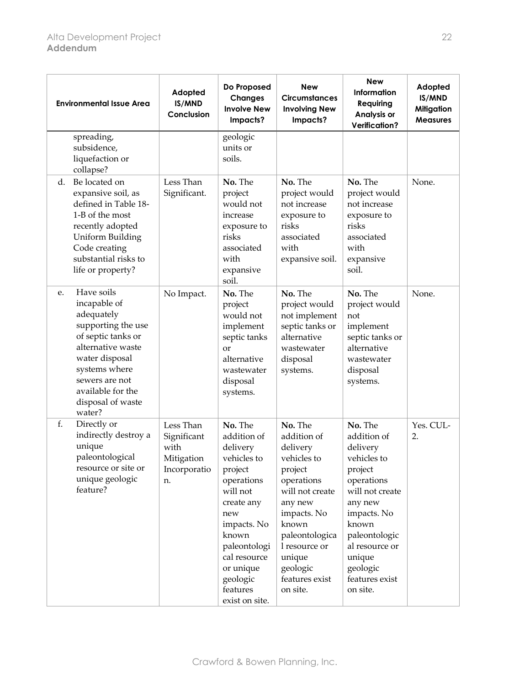|    | <b>Environmental Issue Area</b>                                                                                                                                                                                    | Adopted<br>IS/MND<br>Conclusion                                      | Do Proposed<br><b>Changes</b><br><b>Involve New</b><br>Impacts?                                                                                                                                                            | <b>New</b><br><b>Circumstances</b><br><b>Involving New</b><br>Impacts?                                                                                                                                                  | <b>New</b><br>Information<br>Requiring<br>Analysis or<br><b>Verification?</b>                                                                                                                                           | Adopted<br>IS/MND<br><b>Mitigation</b><br><b>Measures</b> |
|----|--------------------------------------------------------------------------------------------------------------------------------------------------------------------------------------------------------------------|----------------------------------------------------------------------|----------------------------------------------------------------------------------------------------------------------------------------------------------------------------------------------------------------------------|-------------------------------------------------------------------------------------------------------------------------------------------------------------------------------------------------------------------------|-------------------------------------------------------------------------------------------------------------------------------------------------------------------------------------------------------------------------|-----------------------------------------------------------|
|    | spreading,<br>subsidence,<br>liquefaction or<br>collapse?                                                                                                                                                          |                                                                      | geologic<br>units or<br>soils.                                                                                                                                                                                             |                                                                                                                                                                                                                         |                                                                                                                                                                                                                         |                                                           |
| d. | Be located on<br>expansive soil, as<br>defined in Table 18-<br>1-B of the most<br>recently adopted<br><b>Uniform Building</b><br>Code creating<br>substantial risks to<br>life or property?                        | Less Than<br>Significant.                                            | No. The<br>project<br>would not<br>increase<br>exposure to<br>risks<br>associated<br>with<br>expansive<br>soil.                                                                                                            | No. The<br>project would<br>not increase<br>exposure to<br>risks<br>associated<br>with<br>expansive soil.                                                                                                               | No. The<br>project would<br>not increase<br>exposure to<br>risks<br>associated<br>with<br>expansive<br>soil.                                                                                                            | None.                                                     |
| e. | Have soils<br>incapable of<br>adequately<br>supporting the use<br>of septic tanks or<br>alternative waste<br>water disposal<br>systems where<br>sewers are not<br>available for the<br>disposal of waste<br>water? | No Impact.                                                           | No. The<br>project<br>would not<br>implement<br>septic tanks<br><sub>or</sub><br>alternative<br>wastewater<br>disposal<br>systems.                                                                                         | No. The<br>project would<br>not implement<br>septic tanks or<br>alternative<br>wastewater<br>disposal<br>systems.                                                                                                       | No. The<br>project would<br>not<br>implement<br>septic tanks or<br>alternative<br>wastewater<br>disposal<br>systems.                                                                                                    | None.                                                     |
| f. | Directly or<br>indirectly destroy a<br>unique<br>paleontological<br>resource or site or<br>unique geologic<br>feature?                                                                                             | Less Than<br>Significant<br>with<br>Mitigation<br>Incorporatio<br>n. | No. The<br>addition of<br>delivery<br>vehicles to<br>project<br>operations<br>will not<br>create any<br>new<br>impacts. No<br>known<br>paleontologi<br>cal resource<br>or unique<br>geologic<br>features<br>exist on site. | No. The<br>addition of<br>delivery<br>vehicles to<br>project<br>operations<br>will not create<br>any new<br>impacts. No<br>known<br>paleontologica<br>l resource or<br>unique<br>geologic<br>features exist<br>on site. | No. The<br>addition of<br>delivery<br>vehicles to<br>project<br>operations<br>will not create<br>any new<br>impacts. No<br>known<br>paleontologic<br>al resource or<br>unique<br>geologic<br>features exist<br>on site. | Yes. CUL-<br>2.                                           |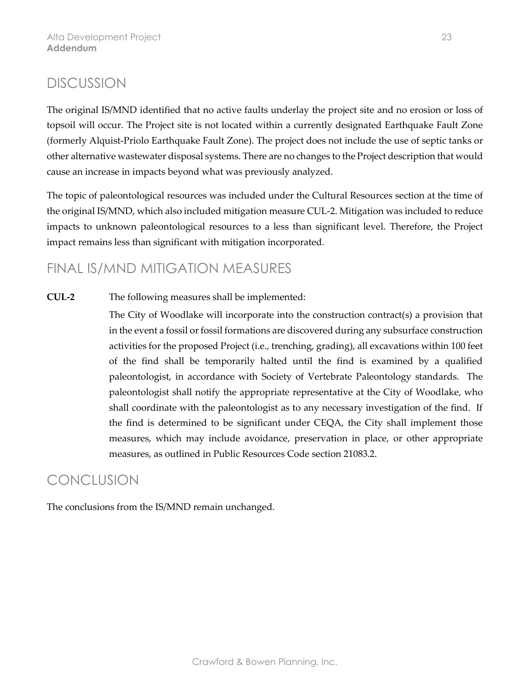The original IS/MND identified that no active faults underlay the project site and no erosion or loss of topsoil will occur. The Project site is not located within a currently designated Earthquake Fault Zone (formerly Alquist-Priolo Earthquake Fault Zone). The project does not include the use of septic tanks or other alternative wastewater disposal systems. There are no changes to the Project description that would cause an increase in impacts beyond what was previously analyzed.

The topic of paleontological resources was included under the Cultural Resources section at the time of the original IS/MND, which also included mitigation measure CUL-2. Mitigation was included to reduce impacts to unknown paleontological resources to a less than significant level. Therefore, the Project impact remains less than significant with mitigation incorporated.

### FINAL IS/MND MITIGATION MEASURES

**CUL-2** The following measures shall be implemented:

The City of Woodlake will incorporate into the construction contract(s) a provision that in the event a fossil or fossil formations are discovered during any subsurface construction activities for the proposed Project (i.e., trenching, grading), all excavations within 100 feet of the find shall be temporarily halted until the find is examined by a qualified paleontologist, in accordance with Society of Vertebrate Paleontology standards. The paleontologist shall notify the appropriate representative at the City of Woodlake, who shall coordinate with the paleontologist as to any necessary investigation of the find. If the find is determined to be significant under CEQA, the City shall implement those measures, which may include avoidance, preservation in place, or other appropriate measures, as outlined in Public Resources Code section 21083.2.

### **CONCLUSION**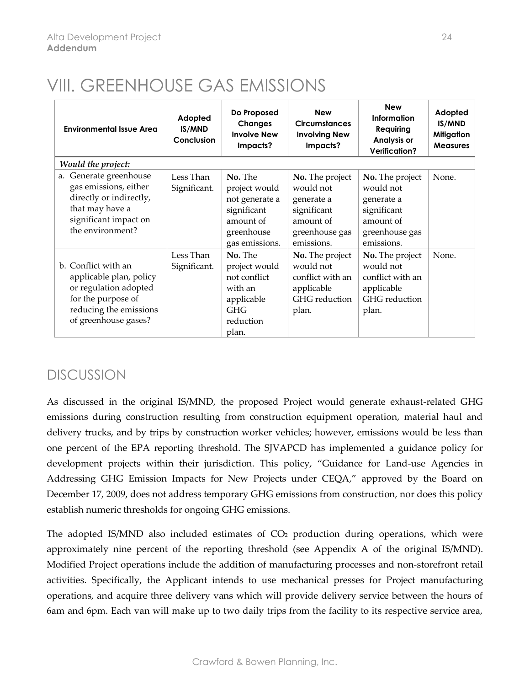# VIII. GREENHOUSE GAS EMISSIONS

| <b>Environmental Issue Area</b>                                                                                                                 | Adopted<br>IS/MND<br>Conclusion | Do Proposed<br><b>Changes</b><br><b>Involve New</b><br>Impacts?                                        | <b>New</b><br><b>Circumstances</b><br><b>Involving New</b><br>Impacts?                                 | <b>New</b><br>Information<br>Requiring<br>Analysis or<br><b>Verification?</b>                          | Adopted<br>IS/MND<br><b>Mitigation</b><br><b>Measures</b> |
|-------------------------------------------------------------------------------------------------------------------------------------------------|---------------------------------|--------------------------------------------------------------------------------------------------------|--------------------------------------------------------------------------------------------------------|--------------------------------------------------------------------------------------------------------|-----------------------------------------------------------|
| Would the project:                                                                                                                              |                                 |                                                                                                        |                                                                                                        |                                                                                                        |                                                           |
| Generate greenhouse<br>a.<br>gas emissions, either<br>directly or indirectly,<br>that may have a<br>significant impact on<br>the environment?   | Less Than<br>Significant.       | No. The<br>project would<br>not generate a<br>significant<br>amount of<br>greenhouse<br>gas emissions. | No. The project<br>would not<br>generate a<br>significant<br>amount of<br>greenhouse gas<br>emissions. | No. The project<br>would not<br>generate a<br>significant<br>amount of<br>greenhouse gas<br>emissions. | None.                                                     |
| b. Conflict with an<br>applicable plan, policy<br>or regulation adopted<br>for the purpose of<br>reducing the emissions<br>of greenhouse gases? | Less Than<br>Significant.       | No. The<br>project would<br>not conflict<br>with an<br>applicable<br><b>GHG</b><br>reduction<br>plan.  | No. The project<br>would not<br>conflict with an<br>applicable<br>GHG reduction<br>plan.               | No. The project<br>would not<br>conflict with an<br>applicable<br>GHG reduction<br>plan.               | None.                                                     |

### **DISCUSSION**

As discussed in the original IS/MND, the proposed Project would generate exhaust-related GHG emissions during construction resulting from construction equipment operation, material haul and delivery trucks, and by trips by construction worker vehicles; however, emissions would be less than one percent of the EPA reporting threshold. The SJVAPCD has implemented a guidance policy for development projects within their jurisdiction. This policy, "Guidance for Land-use Agencies in Addressing GHG Emission Impacts for New Projects under CEQA," approved by the Board on December 17, 2009, does not address temporary GHG emissions from construction, nor does this policy establish numeric thresholds for ongoing GHG emissions.

The adopted IS/MND also included estimates of  $CO<sub>2</sub>$  production during operations, which were approximately nine percent of the reporting threshold (see Appendix A of the original IS/MND). Modified Project operations include the addition of manufacturing processes and non-storefront retail activities. Specifically, the Applicant intends to use mechanical presses for Project manufacturing operations, and acquire three delivery vans which will provide delivery service between the hours of 6am and 6pm. Each van will make up to two daily trips from the facility to its respective service area,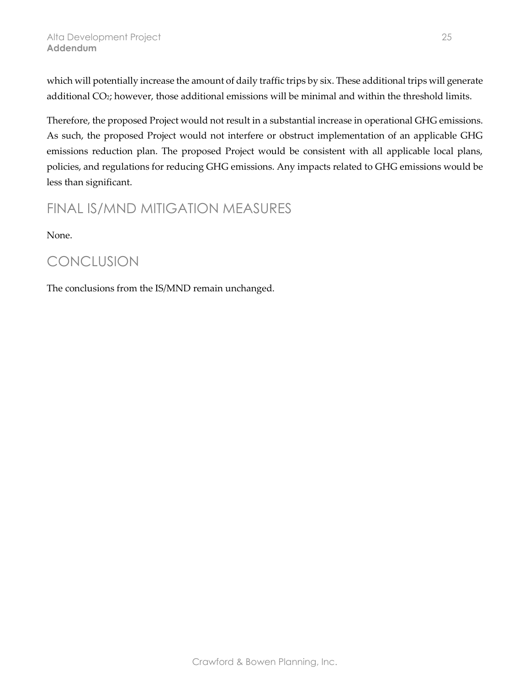which will potentially increase the amount of daily traffic trips by six. These additional trips will generate additional CO<sub>2</sub>; however, those additional emissions will be minimal and within the threshold limits.

Therefore, the proposed Project would not result in a substantial increase in operational GHG emissions. As such, the proposed Project would not interfere or obstruct implementation of an applicable GHG emissions reduction plan. The proposed Project would be consistent with all applicable local plans, policies, and regulations for reducing GHG emissions. Any impacts related to GHG emissions would be less than significant.

### FINAL IS/MND MITIGATION MEASURES

None.

### CONCLUSION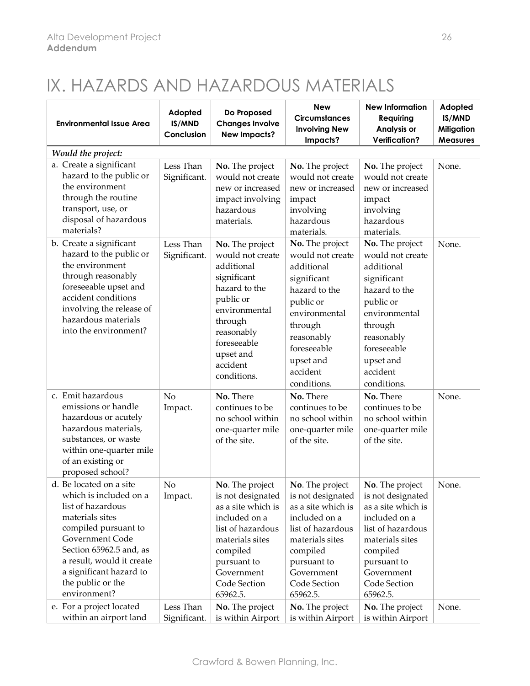# IX. HAZARDS AND HAZARDOUS MATERIALS

| <b>Environmental Issue Area</b>                                                                                                                                                                                                                              | Adopted<br>IS/MND<br>Conclusion | Do Proposed<br><b>Changes Involve</b><br><b>New Impacts?</b>                                                                                                                                    | <b>New</b><br><b>Circumstances</b><br><b>Involving New</b><br>Impacts?                                                                                                                          | <b>New Information</b><br>Requiring<br>Analysis or<br><b>Verification?</b>                                                                                                                      | Adopted<br>IS/MND<br><b>Mitigation</b><br><b>Measures</b> |
|--------------------------------------------------------------------------------------------------------------------------------------------------------------------------------------------------------------------------------------------------------------|---------------------------------|-------------------------------------------------------------------------------------------------------------------------------------------------------------------------------------------------|-------------------------------------------------------------------------------------------------------------------------------------------------------------------------------------------------|-------------------------------------------------------------------------------------------------------------------------------------------------------------------------------------------------|-----------------------------------------------------------|
| Would the project:                                                                                                                                                                                                                                           |                                 |                                                                                                                                                                                                 |                                                                                                                                                                                                 |                                                                                                                                                                                                 |                                                           |
| a. Create a significant<br>hazard to the public or<br>the environment<br>through the routine<br>transport, use, or<br>disposal of hazardous<br>materials?                                                                                                    | Less Than<br>Significant.       | No. The project<br>would not create<br>new or increased<br>impact involving<br>hazardous<br>materials.                                                                                          | No. The project<br>would not create<br>new or increased<br>impact<br>involving<br>hazardous<br>materials.                                                                                       | No. The project<br>would not create<br>new or increased<br>impact<br>involving<br>hazardous<br>materials.                                                                                       | None.                                                     |
| b. Create a significant<br>hazard to the public or<br>the environment<br>through reasonably<br>foreseeable upset and<br>accident conditions<br>involving the release of<br>hazardous materials<br>into the environment?                                      | Less Than<br>Significant.       | No. The project<br>would not create<br>additional<br>significant<br>hazard to the<br>public or<br>environmental<br>through<br>reasonably<br>foreseeable<br>upset and<br>accident<br>conditions. | No. The project<br>would not create<br>additional<br>significant<br>hazard to the<br>public or<br>environmental<br>through<br>reasonably<br>foreseeable<br>upset and<br>accident<br>conditions. | No. The project<br>would not create<br>additional<br>significant<br>hazard to the<br>public or<br>environmental<br>through<br>reasonably<br>foreseeable<br>upset and<br>accident<br>conditions. | None.                                                     |
| c. Emit hazardous<br>emissions or handle<br>hazardous or acutely<br>hazardous materials,<br>substances, or waste<br>within one-quarter mile<br>of an existing or<br>proposed school?                                                                         | No<br>Impact.                   | No. There<br>continues to be<br>no school within<br>one-quarter mile<br>of the site.                                                                                                            | No. There<br>continues to be<br>no school within<br>one-quarter mile<br>of the site.                                                                                                            | No. There<br>continues to be<br>no school within<br>one-quarter mile<br>of the site.                                                                                                            | None.                                                     |
| d. Be located on a site<br>which is included on a<br>list of hazardous<br>materials sites<br>compiled pursuant to<br>Government Code<br>Section 65962.5 and, as<br>a result, would it create<br>a significant hazard to<br>the public or the<br>environment? | N <sub>o</sub><br>Impact.       | No. The project<br>is not designated<br>as a site which is<br>included on a<br>list of hazardous<br>materials sites<br>compiled<br>pursuant to<br>Government<br>Code Section<br>65962.5.        | No. The project<br>is not designated<br>as a site which is<br>included on a<br>list of hazardous<br>materials sites<br>compiled<br>pursuant to<br>Government<br>Code Section<br>65962.5.        | No. The project<br>is not designated<br>as a site which is<br>included on a<br>list of hazardous<br>materials sites<br>compiled<br>pursuant to<br>Government<br>Code Section<br>65962.5.        | None.                                                     |
| e. For a project located<br>within an airport land                                                                                                                                                                                                           | Less Than<br>Significant.       | No. The project<br>is within Airport                                                                                                                                                            | No. The project<br>is within Airport                                                                                                                                                            | No. The project<br>is within Airport                                                                                                                                                            | None.                                                     |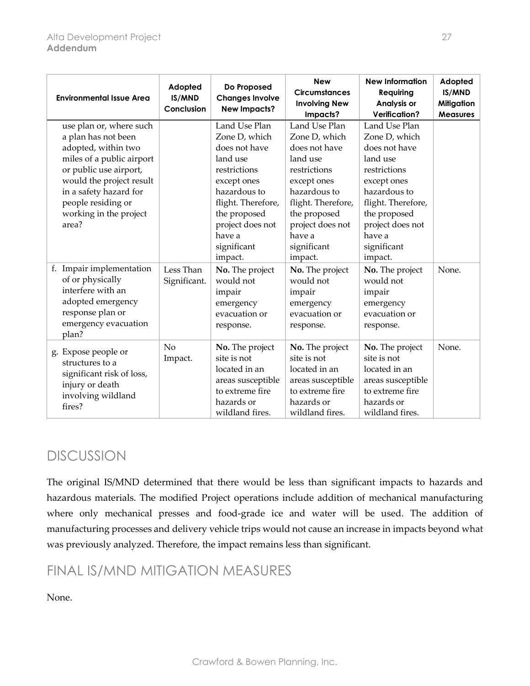| <b>Environmental Issue Area</b>                                                                                                                                                                                                             | Adopted<br>IS/MND<br>Conclusion | Do Proposed<br><b>Changes Involve</b><br><b>New Impacts?</b>                                                                                                                                             | <b>New</b><br><b>Circumstances</b><br><b>Involving New</b><br>Impacts?                                                                                                                                   | <b>New Information</b><br>Requiring<br>Analysis or<br><b>Verification?</b>                                                                                                                               | Adopted<br>IS/MND<br><b>Mitigation</b><br><b>Measures</b> |
|---------------------------------------------------------------------------------------------------------------------------------------------------------------------------------------------------------------------------------------------|---------------------------------|----------------------------------------------------------------------------------------------------------------------------------------------------------------------------------------------------------|----------------------------------------------------------------------------------------------------------------------------------------------------------------------------------------------------------|----------------------------------------------------------------------------------------------------------------------------------------------------------------------------------------------------------|-----------------------------------------------------------|
| use plan or, where such<br>a plan has not been<br>adopted, within two<br>miles of a public airport<br>or public use airport,<br>would the project result<br>in a safety hazard for<br>people residing or<br>working in the project<br>area? |                                 | Land Use Plan<br>Zone D, which<br>does not have<br>land use<br>restrictions<br>except ones<br>hazardous to<br>flight. Therefore,<br>the proposed<br>project does not<br>have a<br>significant<br>impact. | Land Use Plan<br>Zone D, which<br>does not have<br>land use<br>restrictions<br>except ones<br>hazardous to<br>flight. Therefore,<br>the proposed<br>project does not<br>have a<br>significant<br>impact. | Land Use Plan<br>Zone D, which<br>does not have<br>land use<br>restrictions<br>except ones<br>hazardous to<br>flight. Therefore,<br>the proposed<br>project does not<br>have a<br>significant<br>impact. |                                                           |
| f. Impair implementation<br>of or physically<br>interfere with an<br>adopted emergency<br>response plan or<br>emergency evacuation<br>plan?                                                                                                 | Less Than<br>Significant.       | No. The project<br>would not<br>impair<br>emergency<br>evacuation or<br>response.                                                                                                                        | No. The project<br>would not<br>impair<br>emergency<br>evacuation or<br>response.                                                                                                                        | No. The project<br>would not<br>impair<br>emergency<br>evacuation or<br>response.                                                                                                                        | None.                                                     |
| g. Expose people or<br>structures to a<br>significant risk of loss,<br>injury or death<br>involving wildland<br>fires?                                                                                                                      | No<br>Impact.                   | No. The project<br>site is not<br>located in an<br>areas susceptible<br>to extreme fire<br>hazards or<br>wildland fires.                                                                                 | No. The project<br>site is not<br>located in an<br>areas susceptible<br>to extreme fire<br>hazards or<br>wildland fires.                                                                                 | No. The project<br>site is not<br>located in an<br>areas susceptible<br>to extreme fire<br>hazards or<br>wildland fires.                                                                                 | None.                                                     |

The original IS/MND determined that there would be less than significant impacts to hazards and hazardous materials. The modified Project operations include addition of mechanical manufacturing where only mechanical presses and food-grade ice and water will be used. The addition of manufacturing processes and delivery vehicle trips would not cause an increase in impacts beyond what was previously analyzed. Therefore, the impact remains less than significant.

### FINAL IS/MND MITIGATION MEASURES

#### None.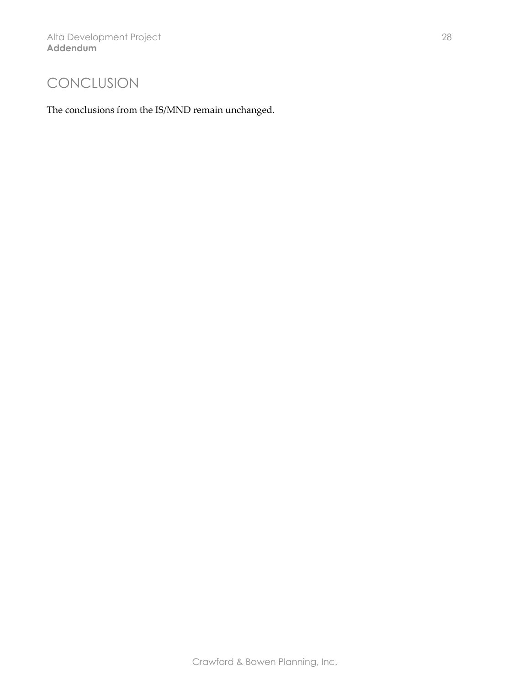### CONCLUSION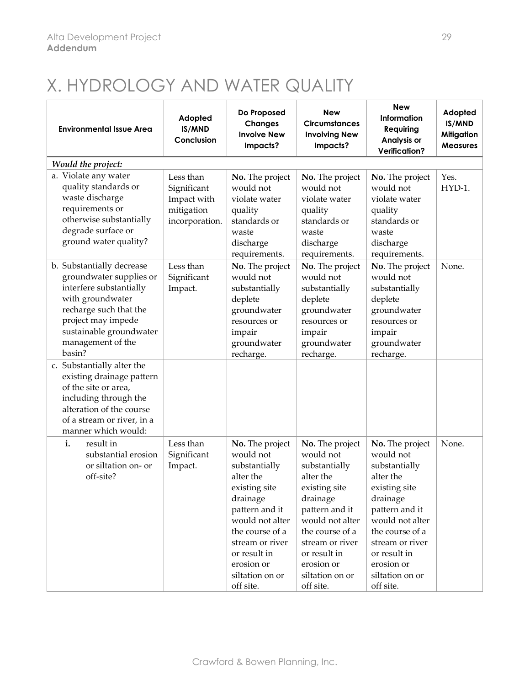# X. HYDROLOGY AND WATER QUALITY

| <b>Environmental Issue Area</b>                                                                                                                                                                               | Adopted<br>IS/MND<br>Conclusion                                         | Do Proposed<br><b>Changes</b><br><b>Involve New</b><br>Impacts?                                                                                                                                                                  | <b>New</b><br><b>Circumstances</b><br><b>Involving New</b><br>Impacts?                                                                                                                                                           | <b>New</b><br><b>Information</b><br>Requiring<br>Analysis or<br><b>Verification?</b>                                                                                                                                             | Adopted<br>IS/MND<br><b>Mitigation</b><br><b>Measures</b> |
|---------------------------------------------------------------------------------------------------------------------------------------------------------------------------------------------------------------|-------------------------------------------------------------------------|----------------------------------------------------------------------------------------------------------------------------------------------------------------------------------------------------------------------------------|----------------------------------------------------------------------------------------------------------------------------------------------------------------------------------------------------------------------------------|----------------------------------------------------------------------------------------------------------------------------------------------------------------------------------------------------------------------------------|-----------------------------------------------------------|
| Would the project:                                                                                                                                                                                            |                                                                         |                                                                                                                                                                                                                                  |                                                                                                                                                                                                                                  |                                                                                                                                                                                                                                  |                                                           |
| a. Violate any water<br>quality standards or<br>waste discharge<br>requirements or<br>otherwise substantially<br>degrade surface or<br>ground water quality?                                                  | Less than<br>Significant<br>Impact with<br>mitigation<br>incorporation. | No. The project<br>would not<br>violate water<br>quality<br>standards or<br>waste<br>discharge<br>requirements.                                                                                                                  | No. The project<br>would not<br>violate water<br>quality<br>standards or<br>waste<br>discharge<br>requirements.                                                                                                                  | No. The project<br>would not<br>violate water<br>quality<br>standards or<br>waste<br>discharge<br>requirements.                                                                                                                  | Yes.<br>HYD-1.                                            |
| b. Substantially decrease<br>groundwater supplies or<br>interfere substantially<br>with groundwater<br>recharge such that the<br>project may impede<br>sustainable groundwater<br>management of the<br>basin? | Less than<br>Significant<br>Impact.                                     | No. The project<br>would not<br>substantially<br>deplete<br>groundwater<br>resources or<br>impair<br>groundwater<br>recharge.                                                                                                    | No. The project<br>would not<br>substantially<br>deplete<br>groundwater<br>resources or<br>impair<br>groundwater<br>recharge.                                                                                                    | No. The project<br>would not<br>substantially<br>deplete<br>groundwater<br>resources or<br>impair<br>groundwater<br>recharge.                                                                                                    | None.                                                     |
| c. Substantially alter the<br>existing drainage pattern<br>of the site or area,<br>including through the<br>alteration of the course<br>of a stream or river, in a<br>manner which would:                     |                                                                         |                                                                                                                                                                                                                                  |                                                                                                                                                                                                                                  |                                                                                                                                                                                                                                  |                                                           |
| i.<br>result in<br>substantial erosion<br>or siltation on- or<br>off-site?                                                                                                                                    | Less than<br>Significant<br>Impact.                                     | No. The project<br>would not<br>substantially<br>alter the<br>existing site<br>drainage<br>pattern and it<br>would not alter<br>the course of a<br>stream or river<br>or result in<br>erosion or<br>siltation on or<br>off site. | No. The project<br>would not<br>substantially<br>alter the<br>existing site<br>drainage<br>pattern and it<br>would not alter<br>the course of a<br>stream or river<br>or result in<br>erosion or<br>siltation on or<br>off site. | No. The project<br>would not<br>substantially<br>alter the<br>existing site<br>drainage<br>pattern and it<br>would not alter<br>the course of a<br>stream or river<br>or result in<br>erosion or<br>siltation on or<br>off site. | None.                                                     |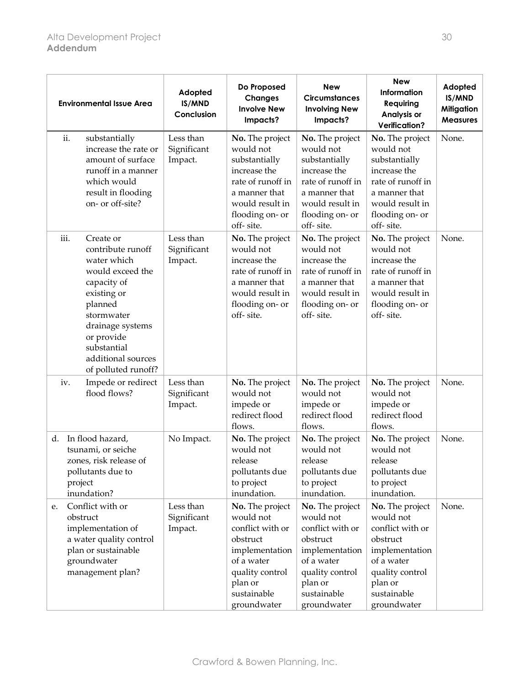| <b>Environmental Issue Area</b>                                                                                                                                                                                                | Adopted<br>IS/MND<br>Conclusion     | Do Proposed<br><b>Changes</b><br><b>Involve New</b><br>Impacts?                                                                                          | <b>New</b><br><b>Circumstances</b><br><b>Involving New</b><br>Impacts?                                                                                   | <b>New</b><br>Information<br>Requiring<br>Analysis or<br><b>Verification?</b>                                                                            | Adopted<br>IS/MND<br><b>Mitigation</b><br><b>Measures</b> |
|--------------------------------------------------------------------------------------------------------------------------------------------------------------------------------------------------------------------------------|-------------------------------------|----------------------------------------------------------------------------------------------------------------------------------------------------------|----------------------------------------------------------------------------------------------------------------------------------------------------------|----------------------------------------------------------------------------------------------------------------------------------------------------------|-----------------------------------------------------------|
| ii.<br>substantially<br>increase the rate or<br>amount of surface<br>runoff in a manner<br>which would<br>result in flooding<br>on- or off-site?                                                                               | Less than<br>Significant<br>Impact. | No. The project<br>would not<br>substantially<br>increase the<br>rate of runoff in<br>a manner that<br>would result in<br>flooding on- or<br>off-site.   | No. The project<br>would not<br>substantially<br>increase the<br>rate of runoff in<br>a manner that<br>would result in<br>flooding on- or<br>off-site.   | No. The project<br>would not<br>substantially<br>increase the<br>rate of runoff in<br>a manner that<br>would result in<br>flooding on- or<br>off-site.   | None.                                                     |
| iii.<br>Create or<br>contribute runoff<br>water which<br>would exceed the<br>capacity of<br>existing or<br>planned<br>stormwater<br>drainage systems<br>or provide<br>substantial<br>additional sources<br>of polluted runoff? | Less than<br>Significant<br>Impact. | No. The project<br>would not<br>increase the<br>rate of runoff in<br>a manner that<br>would result in<br>flooding on- or<br>off-site.                    | No. The project<br>would not<br>increase the<br>rate of runoff in<br>a manner that<br>would result in<br>flooding on- or<br>off-site.                    | No. The project<br>would not<br>increase the<br>rate of runoff in<br>a manner that<br>would result in<br>flooding on- or<br>off-site.                    | None.                                                     |
| Impede or redirect<br>iv.<br>flood flows?                                                                                                                                                                                      | Less than<br>Significant<br>Impact. | No. The project<br>would not<br>impede or<br>redirect flood<br>flows.                                                                                    | No. The project<br>would not<br>impede or<br>redirect flood<br>flows.                                                                                    | No. The project<br>would not<br>impede or<br>redirect flood<br>flows.                                                                                    | None.                                                     |
| In flood hazard,<br>d.<br>tsunami, or seiche<br>zones, risk release of<br>pollutants due to<br>project<br>inundation?                                                                                                          | No Impact.                          | No. The project<br>would not<br>release<br>pollutants due<br>to project<br>inundation.                                                                   | No. The project<br>would not<br>release<br>pollutants due<br>to project<br>inundation.                                                                   | No. The project<br>would not<br>release<br>pollutants due<br>to project<br>inundation.                                                                   | None.                                                     |
| Conflict with or<br>е.<br>obstruct<br>implementation of<br>a water quality control<br>plan or sustainable<br>groundwater<br>management plan?                                                                                   | Less than<br>Significant<br>Impact. | No. The project<br>would not<br>conflict with or<br>obstruct<br>implementation<br>of a water<br>quality control<br>plan or<br>sustainable<br>groundwater | No. The project<br>would not<br>conflict with or<br>obstruct<br>implementation<br>of a water<br>quality control<br>plan or<br>sustainable<br>groundwater | No. The project<br>would not<br>conflict with or<br>obstruct<br>implementation<br>of a water<br>quality control<br>plan or<br>sustainable<br>groundwater | None.                                                     |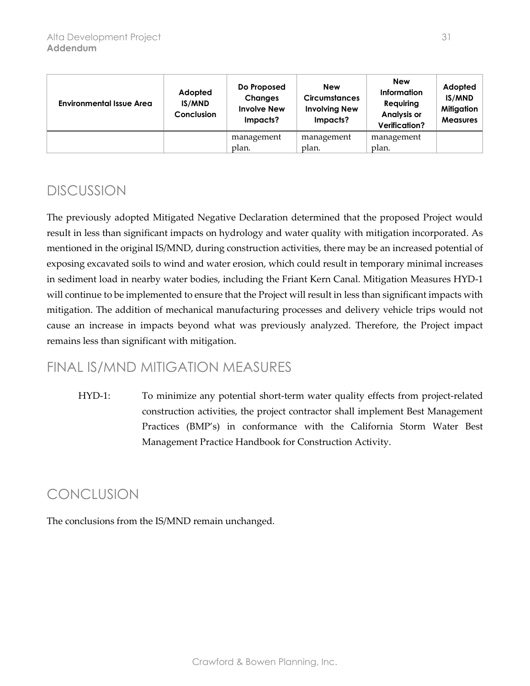| <b>Environmental Issue Area</b> | Adopted<br><b>IS/MND</b><br><b>Conclusion</b> | Do Proposed<br><b>Changes</b><br><b>Involve New</b><br>Impacts? | <b>New</b><br><b>Circumstances</b><br><b>Involving New</b><br>Impacts? | <b>New</b><br>Information<br>Requiring<br><b>Analysis or</b><br><b>Verification?</b> | Adopted<br>IS/MND<br><b>Mitigation</b><br><b>Measures</b> |
|---------------------------------|-----------------------------------------------|-----------------------------------------------------------------|------------------------------------------------------------------------|--------------------------------------------------------------------------------------|-----------------------------------------------------------|
|                                 |                                               | management                                                      | management                                                             | management                                                                           |                                                           |
|                                 |                                               | plan.                                                           | plan.                                                                  | plan.                                                                                |                                                           |

The previously adopted Mitigated Negative Declaration determined that the proposed Project would result in less than significant impacts on hydrology and water quality with mitigation incorporated. As mentioned in the original IS/MND, during construction activities, there may be an increased potential of exposing excavated soils to wind and water erosion, which could result in temporary minimal increases in sediment load in nearby water bodies, including the Friant Kern Canal. Mitigation Measures HYD-1 will continue to be implemented to ensure that the Project will result in less than significant impacts with mitigation. The addition of mechanical manufacturing processes and delivery vehicle trips would not cause an increase in impacts beyond what was previously analyzed. Therefore, the Project impact remains less than significant with mitigation.

### FINAL IS/MND MITIGATION MEASURES

HYD-1: To minimize any potential short-term water quality effects from project-related construction activities, the project contractor shall implement Best Management Practices (BMP's) in conformance with the California Storm Water Best Management Practice Handbook for Construction Activity.

### CONCLUSION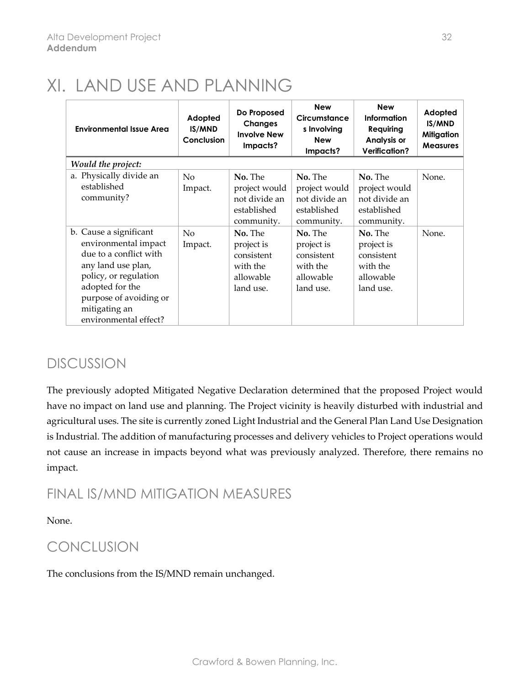# XI. LAND USE AND PLANNING

| <b>Environmental Issue Area</b>                                                                                                                                                                                | Adopted<br><b>IS/MND</b><br>Conclusion | Do Proposed<br><b>Changes</b><br><b>Involve New</b><br>Impacts?           | <b>New</b><br>Circumstance<br>s Involving<br><b>New</b><br>Impacts?       | <b>New</b><br>Information<br>Requiring<br>Analysis or<br><b>Verification?</b> | Adopted<br><b>IS/MND</b><br><b>Mitigation</b><br><b>Measures</b> |
|----------------------------------------------------------------------------------------------------------------------------------------------------------------------------------------------------------------|----------------------------------------|---------------------------------------------------------------------------|---------------------------------------------------------------------------|-------------------------------------------------------------------------------|------------------------------------------------------------------|
| Would the project:                                                                                                                                                                                             |                                        |                                                                           |                                                                           |                                                                               |                                                                  |
| a. Physically divide an<br>established<br>community?                                                                                                                                                           | No<br>Impact.                          | No. The<br>project would<br>not divide an<br>established<br>community.    | No. The<br>project would<br>not divide an<br>established<br>community.    | No. The<br>project would<br>not divide an<br>established<br>community.        | None.                                                            |
| b. Cause a significant<br>environmental impact<br>due to a conflict with<br>any land use plan,<br>policy, or regulation<br>adopted for the<br>purpose of avoiding or<br>mitigating an<br>environmental effect? | N <sub>o</sub><br>Impact.              | No. The<br>project is<br>consistent<br>with the<br>allowable<br>land use. | No. The<br>project is<br>consistent<br>with the<br>allowable<br>land use. | No. The<br>project is<br>consistent<br>with the<br>allowable<br>land use.     | None.                                                            |

### DISCUSSION

The previously adopted Mitigated Negative Declaration determined that the proposed Project would have no impact on land use and planning. The Project vicinity is heavily disturbed with industrial and agricultural uses. The site is currently zoned Light Industrial and the General Plan Land Use Designation is Industrial. The addition of manufacturing processes and delivery vehicles to Project operations would not cause an increase in impacts beyond what was previously analyzed. Therefore, there remains no impact.

### FINAL IS/MND MITIGATION MEASURES

None.

### **CONCLUSION**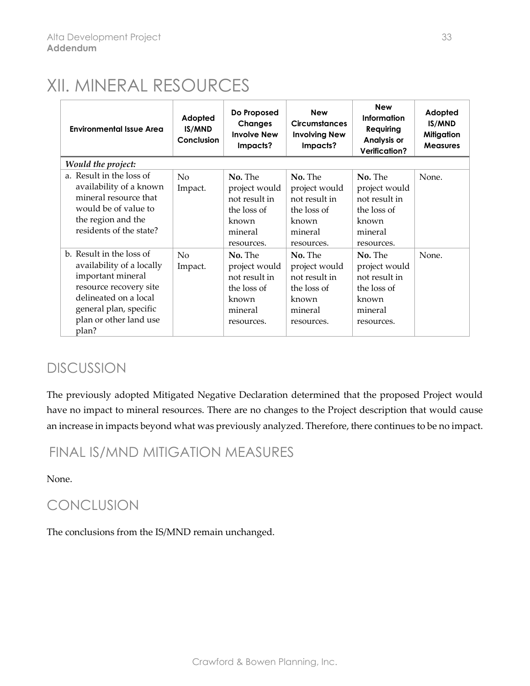## XII. MINERAL RESOURCES

| <b>Environmental Issue Area</b>                                                                                                                                                            | Adopted<br>IS/MND<br>Conclusion | Do Proposed<br><b>Changes</b><br><b>Involve New</b><br>Impacts?                            | <b>New</b><br><b>Circumstances</b><br><b>Involving New</b><br>Impacts?                     | <b>New</b><br><b>Information</b><br><b>Requiring</b><br><b>Analysis or</b><br><b>Verification?</b> | Adopted<br>IS/MND<br>Mitigation<br><b>Measures</b> |
|--------------------------------------------------------------------------------------------------------------------------------------------------------------------------------------------|---------------------------------|--------------------------------------------------------------------------------------------|--------------------------------------------------------------------------------------------|----------------------------------------------------------------------------------------------------|----------------------------------------------------|
| Would the project:                                                                                                                                                                         |                                 |                                                                                            |                                                                                            |                                                                                                    |                                                    |
| a. Result in the loss of<br>availability of a known<br>mineral resource that<br>would be of value to<br>the region and the<br>residents of the state?                                      | No<br>Impact.                   | No. The<br>project would<br>not result in<br>the loss of<br>known<br>mineral<br>resources. | No. The<br>project would<br>not result in<br>the loss of<br>known<br>mineral<br>resources. | No. The<br>project would<br>not result in<br>the loss of<br>known<br>mineral<br>resources.         | None.                                              |
| b. Result in the loss of<br>availability of a locally<br>important mineral<br>resource recovery site<br>delineated on a local<br>general plan, specific<br>plan or other land use<br>plan? | No<br>Impact.                   | No. The<br>project would<br>not result in<br>the loss of<br>known<br>mineral<br>resources. | No. The<br>project would<br>not result in<br>the loss of<br>known<br>mineral<br>resources. | No. The<br>project would<br>not result in<br>the loss of<br>known<br>mineral<br>resources.         | None.                                              |

### DISCUSSION

The previously adopted Mitigated Negative Declaration determined that the proposed Project would have no impact to mineral resources. There are no changes to the Project description that would cause an increase in impacts beyond what was previously analyzed. Therefore, there continues to be no impact.

### FINAL IS/MND MITIGATION MEASURES

None.

### CONCLUSION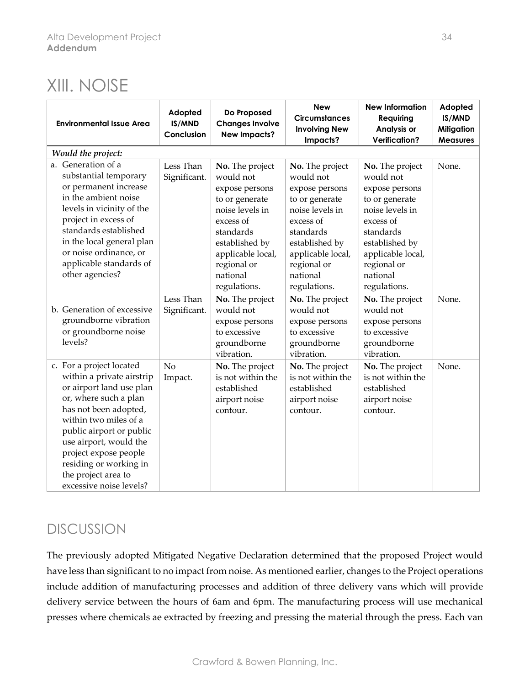### XIII. NOISE

| <b>Environmental Issue Area</b>                                                                                                                                                                                                                                                                                         | Adopted<br>IS/MND<br>Conclusion | Do Proposed<br><b>Changes Involve</b><br><b>New Impacts?</b>                                                                                                                                    | <b>New</b><br><b>Circumstances</b><br><b>Involving New</b><br>Impacts?                                                                                                                          | <b>New Information</b><br>Requiring<br><b>Analysis or</b><br><b>Verification?</b>                                                                                                               | Adopted<br>IS/MND<br><b>Mitigation</b><br><b>Measures</b> |
|-------------------------------------------------------------------------------------------------------------------------------------------------------------------------------------------------------------------------------------------------------------------------------------------------------------------------|---------------------------------|-------------------------------------------------------------------------------------------------------------------------------------------------------------------------------------------------|-------------------------------------------------------------------------------------------------------------------------------------------------------------------------------------------------|-------------------------------------------------------------------------------------------------------------------------------------------------------------------------------------------------|-----------------------------------------------------------|
| Would the project:                                                                                                                                                                                                                                                                                                      |                                 |                                                                                                                                                                                                 |                                                                                                                                                                                                 |                                                                                                                                                                                                 |                                                           |
| a. Generation of a<br>substantial temporary<br>or permanent increase<br>in the ambient noise<br>levels in vicinity of the<br>project in excess of<br>standards established<br>in the local general plan<br>or noise ordinance, or<br>applicable standards of<br>other agencies?                                         | Less Than<br>Significant.       | No. The project<br>would not<br>expose persons<br>to or generate<br>noise levels in<br>excess of<br>standards<br>established by<br>applicable local,<br>regional or<br>national<br>regulations. | No. The project<br>would not<br>expose persons<br>to or generate<br>noise levels in<br>excess of<br>standards<br>established by<br>applicable local,<br>regional or<br>national<br>regulations. | No. The project<br>would not<br>expose persons<br>to or generate<br>noise levels in<br>excess of<br>standards<br>established by<br>applicable local,<br>regional or<br>national<br>regulations. | None.                                                     |
| b. Generation of excessive<br>groundborne vibration<br>or groundborne noise<br>levels?                                                                                                                                                                                                                                  | Less Than<br>Significant.       | No. The project<br>would not<br>expose persons<br>to excessive<br>groundborne<br>vibration.                                                                                                     | No. The project<br>would not<br>expose persons<br>to excessive<br>groundborne<br>vibration.                                                                                                     | No. The project<br>would not<br>expose persons<br>to excessive<br>groundborne<br>vibration.                                                                                                     | None.                                                     |
| c. For a project located<br>within a private airstrip<br>or airport land use plan<br>or, where such a plan<br>has not been adopted,<br>within two miles of a<br>public airport or public<br>use airport, would the<br>project expose people<br>residing or working in<br>the project area to<br>excessive noise levels? | No<br>Impact.                   | No. The project<br>is not within the<br>established<br>airport noise<br>contour.                                                                                                                | No. The project<br>is not within the<br>established<br>airport noise<br>contour.                                                                                                                | No. The project<br>is not within the<br>established<br>airport noise<br>contour.                                                                                                                | None.                                                     |

### DISCUSSION

The previously adopted Mitigated Negative Declaration determined that the proposed Project would have less than significant to no impact from noise. As mentioned earlier, changes to the Project operations include addition of manufacturing processes and addition of three delivery vans which will provide delivery service between the hours of 6am and 6pm. The manufacturing process will use mechanical presses where chemicals ae extracted by freezing and pressing the material through the press. Each van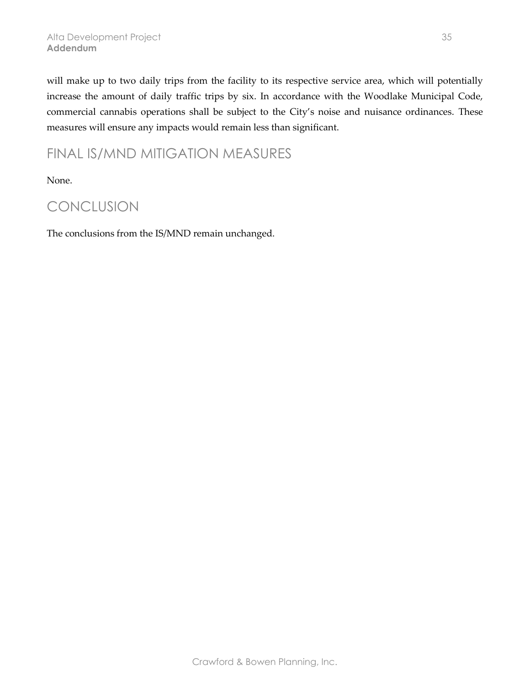will make up to two daily trips from the facility to its respective service area, which will potentially increase the amount of daily traffic trips by six. In accordance with the Woodlake Municipal Code, commercial cannabis operations shall be subject to the City's noise and nuisance ordinances. These measures will ensure any impacts would remain less than significant.

### FINAL IS/MND MITIGATION MEASURES

None.

### CONCLUSION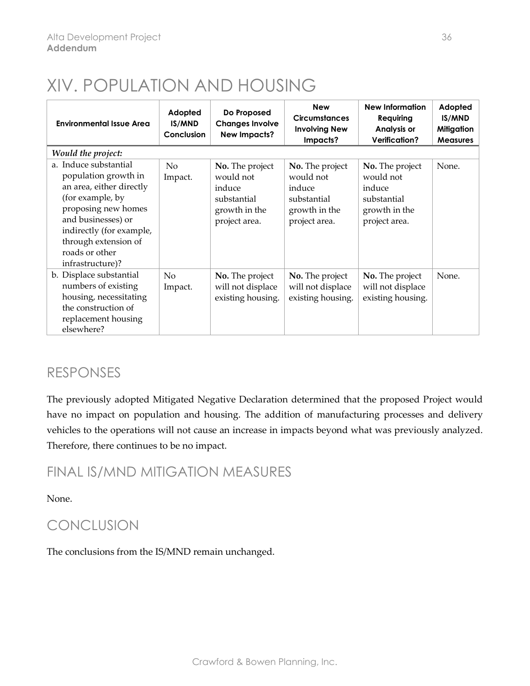# XIV. POPULATION AND HOUSING

| <b>Environmental Issue Area</b>                                                                                                                                                                                                      | Adopted<br><b>IS/MND</b><br>Conclusion | Do Proposed<br><b>Changes Involve</b><br><b>New Impacts?</b>                            | <b>New</b><br><b>Circumstances</b><br><b>Involving New</b><br>Impacts?                  | <b>New Information</b><br>Requiring<br><b>Analysis or</b><br><b>Verification?</b>       | Adopted<br><b>IS/MND</b><br><b>Mitigation</b><br><b>Measures</b> |
|--------------------------------------------------------------------------------------------------------------------------------------------------------------------------------------------------------------------------------------|----------------------------------------|-----------------------------------------------------------------------------------------|-----------------------------------------------------------------------------------------|-----------------------------------------------------------------------------------------|------------------------------------------------------------------|
| Would the project:                                                                                                                                                                                                                   |                                        |                                                                                         |                                                                                         |                                                                                         |                                                                  |
| a. Induce substantial<br>population growth in<br>an area, either directly<br>(for example, by<br>proposing new homes<br>and businesses) or<br>indirectly (for example,<br>through extension of<br>roads or other<br>infrastructure)? | N <sub>o</sub><br>Impact.              | No. The project<br>would not<br>induce<br>substantial<br>growth in the<br>project area. | No. The project<br>would not<br>induce<br>substantial<br>growth in the<br>project area. | No. The project<br>would not<br>induce<br>substantial<br>growth in the<br>project area. | None.                                                            |
| b. Displace substantial<br>numbers of existing<br>housing, necessitating<br>the construction of<br>replacement housing<br>elsewhere?                                                                                                 | N <sub>o</sub><br>Impact.              | No. The project<br>will not displace<br>existing housing.                               | No. The project<br>will not displace<br>existing housing.                               | No. The project<br>will not displace<br>existing housing.                               | None.                                                            |

### RESPONSES

The previously adopted Mitigated Negative Declaration determined that the proposed Project would have no impact on population and housing. The addition of manufacturing processes and delivery vehicles to the operations will not cause an increase in impacts beyond what was previously analyzed. Therefore, there continues to be no impact.

FINAL IS/MND MITIGATION MEASURES

None.

### CONCLUSION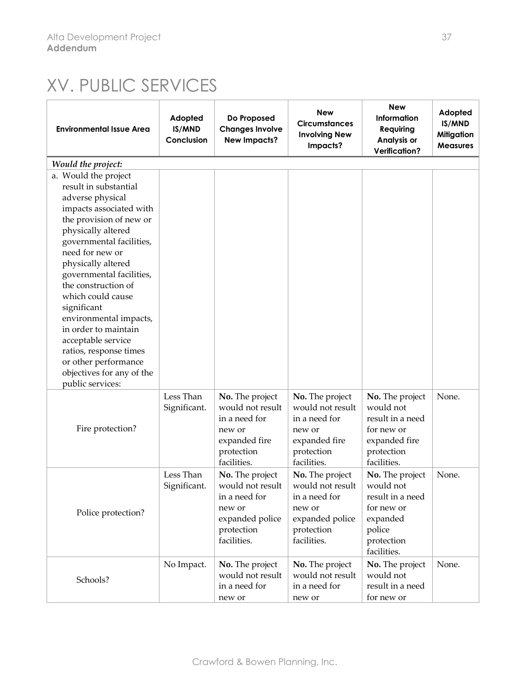# XV. PUBLIC SERVICES

| <b>Environmental Issue Area</b>                                                                                                                                                                                                                                                                                                                                                                                                                                                      | Adopted<br>IS/MND<br>Conclusion | Do Proposed<br><b>Changes Involve</b><br><b>New Impacts?</b>                                                   | <b>New</b><br><b>Circumstances</b><br><b>Involving New</b><br>Impacts?                                         | <b>New</b><br>Information<br>Requiring<br>Analysis or<br><b>Verification?</b>                                     | Adopted<br>IS/MND<br><b>Mitigation</b><br><b>Measures</b> |
|--------------------------------------------------------------------------------------------------------------------------------------------------------------------------------------------------------------------------------------------------------------------------------------------------------------------------------------------------------------------------------------------------------------------------------------------------------------------------------------|---------------------------------|----------------------------------------------------------------------------------------------------------------|----------------------------------------------------------------------------------------------------------------|-------------------------------------------------------------------------------------------------------------------|-----------------------------------------------------------|
| Would the project:                                                                                                                                                                                                                                                                                                                                                                                                                                                                   |                                 |                                                                                                                |                                                                                                                |                                                                                                                   |                                                           |
| a. Would the project<br>result in substantial<br>adverse physical<br>impacts associated with<br>the provision of new or<br>physically altered<br>governmental facilities,<br>need for new or<br>physically altered<br>governmental facilities,<br>the construction of<br>which could cause<br>significant<br>environmental impacts,<br>in order to maintain<br>acceptable service<br>ratios, response times<br>or other performance<br>objectives for any of the<br>public services: |                                 |                                                                                                                |                                                                                                                |                                                                                                                   |                                                           |
| Fire protection?                                                                                                                                                                                                                                                                                                                                                                                                                                                                     | Less Than<br>Significant.       | No. The project<br>would not result<br>in a need for<br>new or<br>expanded fire<br>protection<br>facilities.   | No. The project<br>would not result<br>in a need for<br>new or<br>expanded fire<br>protection<br>facilities.   | No. The project<br>would not<br>result in a need<br>for new or<br>expanded fire<br>protection<br>facilities.      | None.                                                     |
| Police protection?                                                                                                                                                                                                                                                                                                                                                                                                                                                                   | Less Than<br>Significant.       | No. The project<br>would not result<br>in a need for<br>new or<br>expanded police<br>protection<br>facilities. | No. The project<br>would not result<br>in a need for<br>new or<br>expanded police<br>protection<br>facilities. | No. The project<br>would not<br>result in a need<br>for new or<br>expanded<br>police<br>protection<br>facilities. | None.                                                     |
| Schools?                                                                                                                                                                                                                                                                                                                                                                                                                                                                             | No Impact.                      | No. The project<br>would not result<br>in a need for<br>new or                                                 | No. The project<br>would not result<br>in a need for<br>new or                                                 | No. The project<br>would not<br>result in a need<br>for new or                                                    | None.                                                     |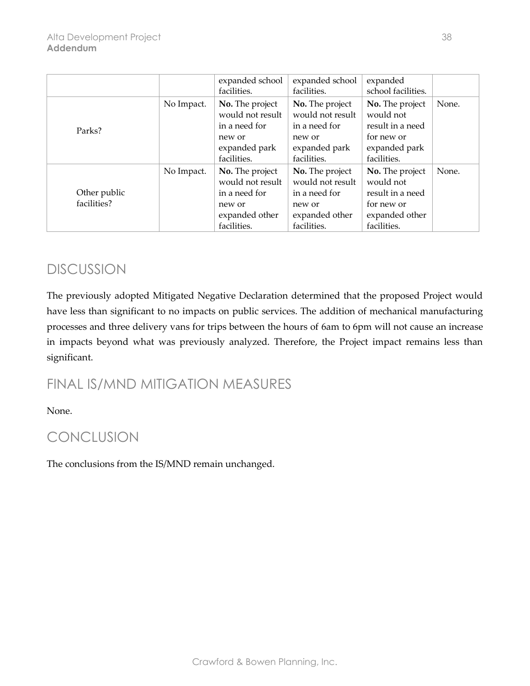|                             |            | expanded school                                                                                 | expanded school                                                                                 | expanded                                                                                        |       |
|-----------------------------|------------|-------------------------------------------------------------------------------------------------|-------------------------------------------------------------------------------------------------|-------------------------------------------------------------------------------------------------|-------|
|                             |            | facilities.                                                                                     | facilities.                                                                                     | school facilities.                                                                              |       |
| Parks?                      | No Impact. | No. The project<br>would not result<br>in a need for<br>new or<br>expanded park<br>facilities.  | No. The project<br>would not result<br>in a need for<br>new or<br>expanded park<br>facilities.  | No. The project<br>would not<br>result in a need<br>for new or<br>expanded park<br>facilities.  | None. |
| Other public<br>facilities? | No Impact. | No. The project<br>would not result<br>in a need for<br>new or<br>expanded other<br>facilities. | No. The project<br>would not result<br>in a need for<br>new or<br>expanded other<br>facilities. | No. The project<br>would not<br>result in a need<br>for new or<br>expanded other<br>facilities. | None. |

The previously adopted Mitigated Negative Declaration determined that the proposed Project would have less than significant to no impacts on public services. The addition of mechanical manufacturing processes and three delivery vans for trips between the hours of 6am to 6pm will not cause an increase in impacts beyond what was previously analyzed. Therefore, the Project impact remains less than significant.

### FINAL IS/MND MITIGATION MEASURES

None.

### CONCLUSION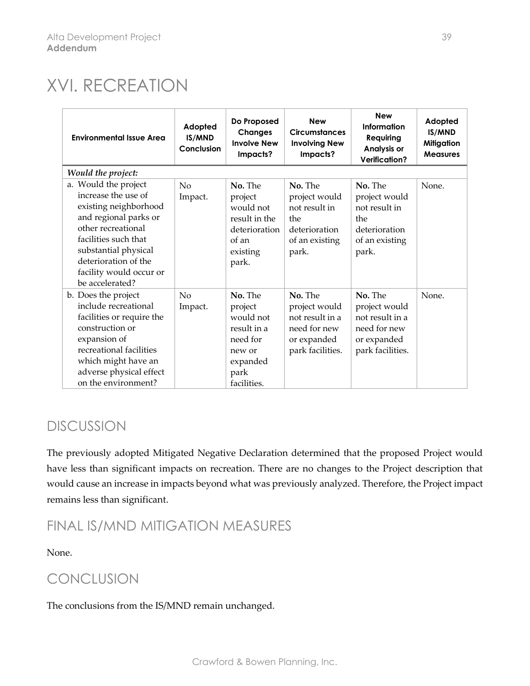# XVI. RECREATION

| <b>Environmental Issue Area</b>                                                                                                                                                                                                           | Adopted<br>IS/MND<br>Conclusion | Do Proposed<br><b>Changes</b><br><b>Involve New</b><br>Impacts?                                         | <b>New</b><br><b>Circumstances</b><br><b>Involving New</b><br>Impacts?                         | <b>New</b><br><b>Information</b><br>Requiring<br>Analysis or<br><b>Verification?</b>           | Adopted<br>IS/MND<br><b>Mitigation</b><br><b>Measures</b> |
|-------------------------------------------------------------------------------------------------------------------------------------------------------------------------------------------------------------------------------------------|---------------------------------|---------------------------------------------------------------------------------------------------------|------------------------------------------------------------------------------------------------|------------------------------------------------------------------------------------------------|-----------------------------------------------------------|
| Would the project:                                                                                                                                                                                                                        |                                 |                                                                                                         |                                                                                                |                                                                                                |                                                           |
| a. Would the project<br>increase the use of<br>existing neighborhood<br>and regional parks or<br>other recreational<br>facilities such that<br>substantial physical<br>deterioration of the<br>facility would occur or<br>be accelerated? | No<br>Impact.                   | No. The<br>project<br>would not<br>result in the<br>deterioration<br>of an<br>existing<br>park.         | No. The<br>project would<br>not result in<br>the<br>deterioration<br>of an existing<br>park.   | No. The<br>project would<br>not result in<br>the<br>deterioration<br>of an existing<br>park.   | None.                                                     |
| b. Does the project<br>include recreational<br>facilities or require the<br>construction or<br>expansion of<br>recreational facilities<br>which might have an<br>adverse physical effect<br>on the environment?                           | No<br>Impact.                   | No. The<br>project<br>would not<br>result in a<br>need for<br>new or<br>expanded<br>park<br>facilities. | No. The<br>project would<br>not result in a<br>need for new<br>or expanded<br>park facilities. | No. The<br>project would<br>not result in a<br>need for new<br>or expanded<br>park facilities. | None.                                                     |

### DISCUSSION

The previously adopted Mitigated Negative Declaration determined that the proposed Project would have less than significant impacts on recreation. There are no changes to the Project description that would cause an increase in impacts beyond what was previously analyzed. Therefore, the Project impact remains less than significant.

### FINAL IS/MND MITIGATION MEASURES

None.

### CONCLUSION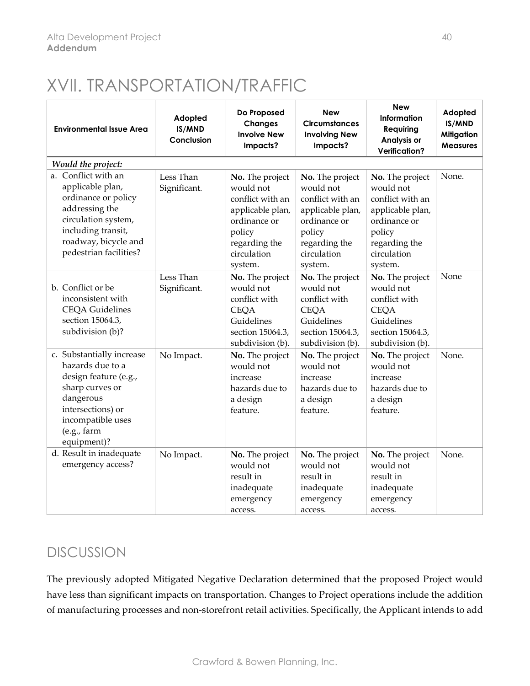# XVII. TRANSPORTATION/TRAFFIC

| <b>Environmental Issue Area</b>                                                                                                                                                 | Adopted<br>IS/MND<br>Conclusion | Do Proposed<br><b>Changes</b><br><b>Involve New</b><br>Impacts?                                                                           | <b>New</b><br><b>Circumstances</b><br><b>Involving New</b><br>Impacts?                                                                    | <b>New</b><br>Information<br>Requiring<br><b>Analysis or</b><br><b>Verification?</b>                                                      | Adopted<br>IS/MND<br>Mitigation<br><b>Measures</b> |
|---------------------------------------------------------------------------------------------------------------------------------------------------------------------------------|---------------------------------|-------------------------------------------------------------------------------------------------------------------------------------------|-------------------------------------------------------------------------------------------------------------------------------------------|-------------------------------------------------------------------------------------------------------------------------------------------|----------------------------------------------------|
| Would the project:                                                                                                                                                              |                                 |                                                                                                                                           |                                                                                                                                           |                                                                                                                                           |                                                    |
| a. Conflict with an<br>applicable plan,<br>ordinance or policy<br>addressing the<br>circulation system,<br>including transit,<br>roadway, bicycle and<br>pedestrian facilities? | Less Than<br>Significant.       | No. The project<br>would not<br>conflict with an<br>applicable plan,<br>ordinance or<br>policy<br>regarding the<br>circulation<br>system. | No. The project<br>would not<br>conflict with an<br>applicable plan,<br>ordinance or<br>policy<br>regarding the<br>circulation<br>system. | No. The project<br>would not<br>conflict with an<br>applicable plan,<br>ordinance or<br>policy<br>regarding the<br>circulation<br>system. | None.                                              |
| b. Conflict or be<br>inconsistent with<br><b>CEQA Guidelines</b><br>section 15064.3,<br>subdivision (b)?                                                                        | Less Than<br>Significant.       | No. The project<br>would not<br>conflict with<br><b>CEQA</b><br>Guidelines<br>section 15064.3,<br>subdivision (b).                        | No. The project<br>would not<br>conflict with<br><b>CEQA</b><br>Guidelines<br>section 15064.3,<br>subdivision (b).                        | No. The project<br>would not<br>conflict with<br><b>CEQA</b><br>Guidelines<br>section 15064.3,<br>subdivision (b).                        | None                                               |
| c. Substantially increase<br>hazards due to a<br>design feature (e.g.,<br>sharp curves or<br>dangerous<br>intersections) or<br>incompatible uses<br>(e.g., farm)<br>equipment)? | No Impact.                      | No. The project<br>would not<br>increase<br>hazards due to<br>a design<br>feature.                                                        | No. The project<br>would not<br>increase<br>hazards due to<br>a design<br>feature.                                                        | No. The project<br>would not<br>increase<br>hazards due to<br>a design<br>feature.                                                        | None.                                              |
| d. Result in inadequate<br>emergency access?                                                                                                                                    | No Impact.                      | No. The project<br>would not<br>result in<br>inadequate<br>emergency<br>access.                                                           | No. The project<br>would not<br>result in<br>inadequate<br>emergency<br>access.                                                           | No. The project<br>would not<br>result in<br>inadequate<br>emergency<br>access.                                                           | None.                                              |

### DISCUSSION

The previously adopted Mitigated Negative Declaration determined that the proposed Project would have less than significant impacts on transportation. Changes to Project operations include the addition of manufacturing processes and non-storefront retail activities. Specifically, the Applicant intends to add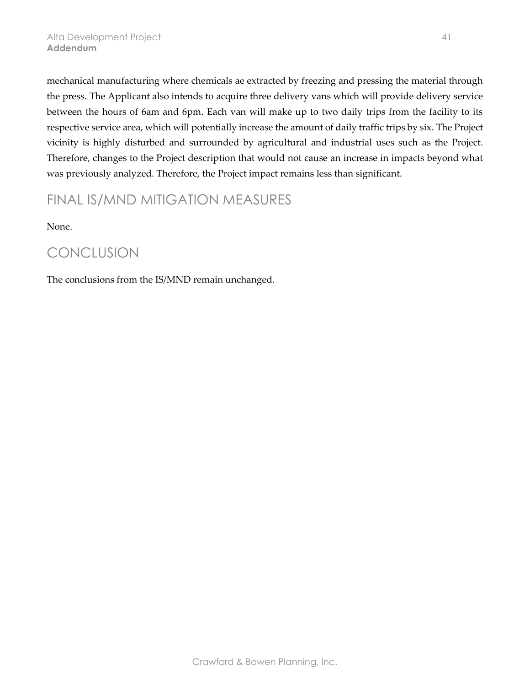mechanical manufacturing where chemicals ae extracted by freezing and pressing the material through the press. The Applicant also intends to acquire three delivery vans which will provide delivery service between the hours of 6am and 6pm. Each van will make up to two daily trips from the facility to its respective service area, which will potentially increase the amount of daily traffic trips by six. The Project vicinity is highly disturbed and surrounded by agricultural and industrial uses such as the Project. Therefore, changes to the Project description that would not cause an increase in impacts beyond what was previously analyzed. Therefore, the Project impact remains less than significant.

### FINAL IS/MND MITIGATION MEASURES

None.

### CONCLUSION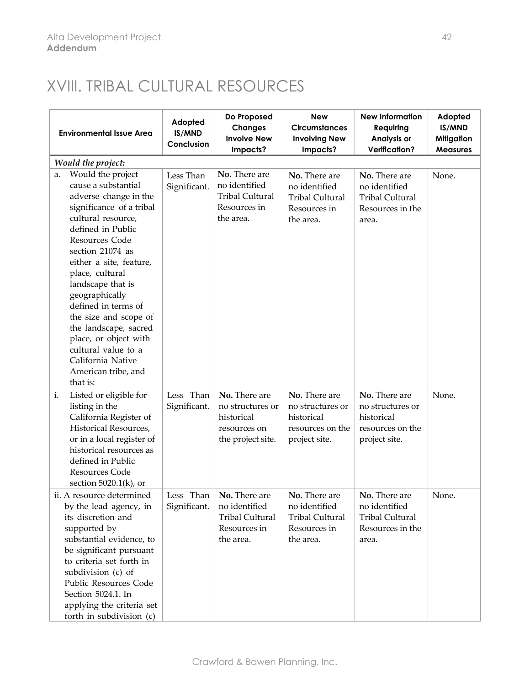## XVIII. TRIBAL CULTURAL RESOURCES

| <b>Environmental Issue Area</b>                                                                                                                                                                                                                                                                                                                                                                                                                            | Adopted<br>IS/MND<br>Conclusion | Do Proposed<br><b>Changes</b><br><b>Involve New</b><br>Impacts?                       | <b>New</b><br><b>Circumstances</b><br><b>Involving New</b><br>Impacts?                | <b>New Information</b><br>Requiring<br>Analysis or<br><b>Verification?</b>            | Adopted<br>IS/MND<br><b>Mitigation</b><br><b>Measures</b> |
|------------------------------------------------------------------------------------------------------------------------------------------------------------------------------------------------------------------------------------------------------------------------------------------------------------------------------------------------------------------------------------------------------------------------------------------------------------|---------------------------------|---------------------------------------------------------------------------------------|---------------------------------------------------------------------------------------|---------------------------------------------------------------------------------------|-----------------------------------------------------------|
| Would the project:                                                                                                                                                                                                                                                                                                                                                                                                                                         |                                 |                                                                                       |                                                                                       |                                                                                       |                                                           |
| Would the project<br>a.<br>cause a substantial<br>adverse change in the<br>significance of a tribal<br>cultural resource,<br>defined in Public<br>Resources Code<br>section 21074 as<br>either a site, feature,<br>place, cultural<br>landscape that is<br>geographically<br>defined in terms of<br>the size and scope of<br>the landscape, sacred<br>place, or object with<br>cultural value to a<br>California Native<br>American tribe, and<br>that is: | Less Than<br>Significant.       | No. There are<br>no identified<br><b>Tribal Cultural</b><br>Resources in<br>the area. | No. There are<br>no identified<br><b>Tribal Cultural</b><br>Resources in<br>the area. | No. There are<br>no identified<br><b>Tribal Cultural</b><br>Resources in the<br>area. | None.                                                     |
| i.<br>Listed or eligible for<br>listing in the<br>California Register of<br>Historical Resources,<br>or in a local register of<br>historical resources as<br>defined in Public<br><b>Resources Code</b><br>section $5020.1(k)$ , or                                                                                                                                                                                                                        | Less Than<br>Significant.       | No. There are<br>no structures or<br>historical<br>resources on<br>the project site.  | No. There are<br>no structures or<br>historical<br>resources on the<br>project site.  | No. There are<br>no structures or<br>historical<br>resources on the<br>project site.  | None.                                                     |
| ii. A resource determined<br>by the lead agency, in<br>its discretion and<br>supported by<br>substantial evidence, to<br>be significant pursuant<br>to criteria set forth in<br>subdivision (c) of<br><b>Public Resources Code</b><br>Section 5024.1. In<br>applying the criteria set<br>forth in subdivision (c)                                                                                                                                          | Less Than<br>Significant.       | No. There are<br>no identified<br><b>Tribal Cultural</b><br>Resources in<br>the area. | No. There are<br>no identified<br><b>Tribal Cultural</b><br>Resources in<br>the area. | No. There are<br>no identified<br><b>Tribal Cultural</b><br>Resources in the<br>area. | None.                                                     |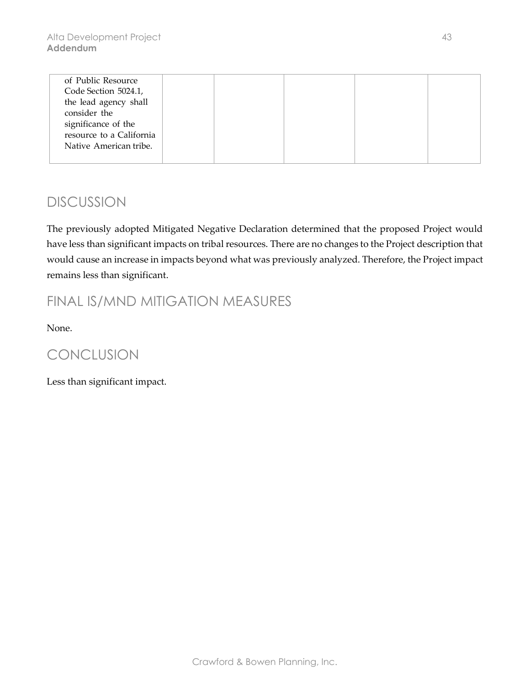| of Public Resource       |  |  |  |
|--------------------------|--|--|--|
| Code Section 5024.1,     |  |  |  |
| the lead agency shall    |  |  |  |
| consider the             |  |  |  |
| significance of the      |  |  |  |
| resource to a California |  |  |  |
| Native American tribe.   |  |  |  |
|                          |  |  |  |

The previously adopted Mitigated Negative Declaration determined that the proposed Project would have less than significant impacts on tribal resources. There are no changes to the Project description that would cause an increase in impacts beyond what was previously analyzed. Therefore, the Project impact remains less than significant.

### FINAL IS/MND MITIGATION MEASURES

None.

### CONCLUSION

Less than significant impact.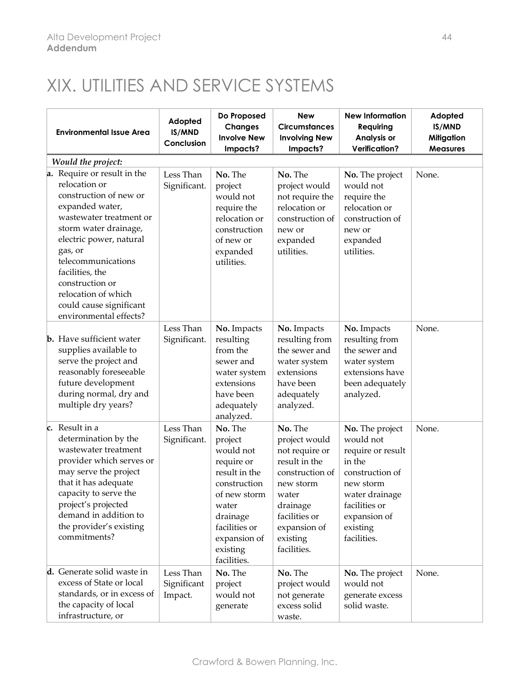# XIX. UTILITIES AND SERVICE SYSTEMS

| <b>Environmental Issue Area</b>                                                                                                                                                                                                                                                                                             | Adopted<br>IS/MND<br>Conclusion     | Do Proposed<br><b>Changes</b><br><b>Involve New</b><br>Impacts?                                                                                                                 | <b>New</b><br><b>Circumstances</b><br><b>Involving New</b><br>Impacts?                                                                                                       | <b>New Information</b><br>Requiring<br>Analysis or<br><b>Verification?</b>                                                                                                | Adopted<br>IS/MND<br><b>Mitigation</b><br><b>Measures</b> |
|-----------------------------------------------------------------------------------------------------------------------------------------------------------------------------------------------------------------------------------------------------------------------------------------------------------------------------|-------------------------------------|---------------------------------------------------------------------------------------------------------------------------------------------------------------------------------|------------------------------------------------------------------------------------------------------------------------------------------------------------------------------|---------------------------------------------------------------------------------------------------------------------------------------------------------------------------|-----------------------------------------------------------|
| Would the project:                                                                                                                                                                                                                                                                                                          |                                     |                                                                                                                                                                                 |                                                                                                                                                                              |                                                                                                                                                                           |                                                           |
| a. Require or result in the<br>relocation or<br>construction of new or<br>expanded water,<br>wastewater treatment or<br>storm water drainage,<br>electric power, natural<br>gas, or<br>telecommunications<br>facilities, the<br>construction or<br>relocation of which<br>could cause significant<br>environmental effects? | Less Than<br>Significant.           | No. The<br>project<br>would not<br>require the<br>relocation or<br>construction<br>of new or<br>expanded<br>utilities.                                                          | No. The<br>project would<br>not require the<br>relocation or<br>construction of<br>new or<br>expanded<br>utilities.                                                          | No. The project<br>would not<br>require the<br>relocation or<br>construction of<br>new or<br>expanded<br>utilities.                                                       | None.                                                     |
| <b>b.</b> Have sufficient water<br>supplies available to<br>serve the project and<br>reasonably foreseeable<br>future development<br>during normal, dry and<br>multiple dry years?                                                                                                                                          | Less Than<br>Significant.           | No. Impacts<br>resulting<br>from the<br>sewer and<br>water system<br>extensions<br>have been<br>adequately<br>analyzed.                                                         | No. Impacts<br>resulting from<br>the sewer and<br>water system<br>extensions<br>have been<br>adequately<br>analyzed.                                                         | No. Impacts<br>resulting from<br>the sewer and<br>water system<br>extensions have<br>been adequately<br>analyzed.                                                         | None.                                                     |
| c. Result in a<br>determination by the<br>wastewater treatment<br>provider which serves or<br>may serve the project<br>that it has adequate<br>capacity to serve the<br>project's projected<br>demand in addition to<br>the provider's existing<br>commitments?                                                             | Less Than<br>Significant.           | No. The<br>project<br>would not<br>require or<br>result in the<br>construction<br>of new storm<br>water<br>drainage<br>facilities or<br>expansion of<br>existing<br>facilities. | No. The<br>project would<br>not require or<br>result in the<br>construction of<br>new storm<br>water<br>drainage<br>facilities or<br>expansion of<br>existing<br>facilities. | No. The project<br>would not<br>require or result<br>in the<br>construction of<br>new storm<br>water drainage<br>facilities or<br>expansion of<br>existing<br>facilities. | None.                                                     |
| d. Generate solid waste in<br>excess of State or local<br>standards, or in excess of<br>the capacity of local<br>infrastructure, or                                                                                                                                                                                         | Less Than<br>Significant<br>Impact. | No. The<br>project<br>would not<br>generate                                                                                                                                     | No. The<br>project would<br>not generate<br>excess solid<br>waste.                                                                                                           | No. The project<br>would not<br>generate excess<br>solid waste.                                                                                                           | None.                                                     |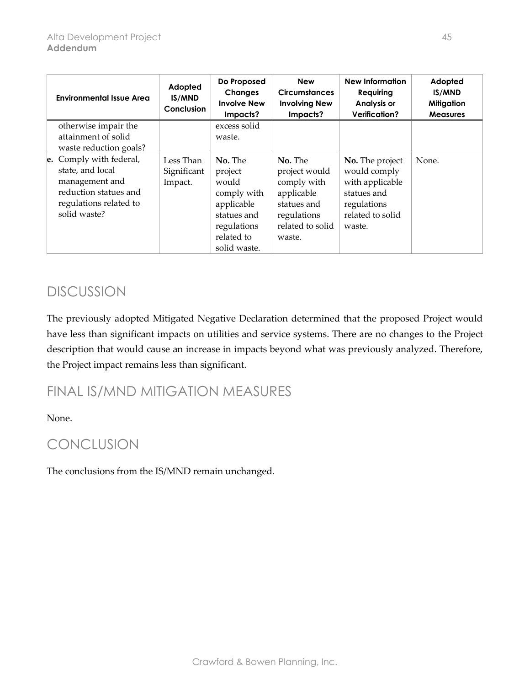| <b>Environmental Issue Area</b>                                                                                                  | Adopted<br>IS/MND<br>Conclusion     | Do Proposed<br><b>Changes</b><br><b>Involve New</b><br>Impacts?                                                      | <b>New</b><br><b>Circumstances</b><br><b>Involving New</b><br>Impacts?                                            | <b>New Information</b><br><b>Requiring</b><br><b>Analysis or</b><br><b>Verification?</b>                       | Adopted<br><b>IS/MND</b><br><b>Mitigation</b><br><b>Measures</b> |
|----------------------------------------------------------------------------------------------------------------------------------|-------------------------------------|----------------------------------------------------------------------------------------------------------------------|-------------------------------------------------------------------------------------------------------------------|----------------------------------------------------------------------------------------------------------------|------------------------------------------------------------------|
| otherwise impair the                                                                                                             |                                     | excess solid                                                                                                         |                                                                                                                   |                                                                                                                |                                                                  |
| attainment of solid                                                                                                              |                                     | waste.                                                                                                               |                                                                                                                   |                                                                                                                |                                                                  |
| waste reduction goals?                                                                                                           |                                     |                                                                                                                      |                                                                                                                   |                                                                                                                |                                                                  |
| e. Comply with federal,<br>state, and local<br>management and<br>reduction statues and<br>regulations related to<br>solid waste? | Less Than<br>Significant<br>Impact. | No. The<br>project<br>would<br>comply with<br>applicable<br>statues and<br>regulations<br>related to<br>solid waste. | No. The<br>project would<br>comply with<br>applicable<br>statues and<br>regulations<br>related to solid<br>waste. | No. The project<br>would comply<br>with applicable<br>statues and<br>regulations<br>related to solid<br>waste. | None.                                                            |

The previously adopted Mitigated Negative Declaration determined that the proposed Project would have less than significant impacts on utilities and service systems. There are no changes to the Project description that would cause an increase in impacts beyond what was previously analyzed. Therefore, the Project impact remains less than significant.

### FINAL IS/MND MITIGATION MEASURES

None.

### CONCLUSION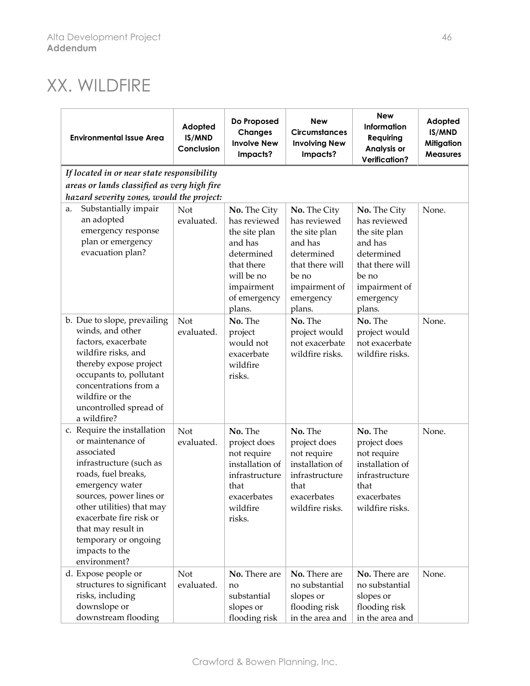# XX. WILDFIRE

| <b>Environmental Issue Area</b>                                                                                                                                                                                                                                                                        | Adopted<br>IS/MND<br>Conclusion            | Do Proposed<br><b>Changes</b><br><b>Involve New</b><br>Impacts?                                                          | <b>New</b><br><b>Circumstances</b><br><b>Involving New</b><br>Impacts?                                                | <b>New</b><br>Information<br>Requiring<br>Analysis or<br><b>Verification?</b>                                         | Adopted<br>IS/MND<br><b>Mitigation</b><br><b>Measures</b> |  |  |  |  |  |
|--------------------------------------------------------------------------------------------------------------------------------------------------------------------------------------------------------------------------------------------------------------------------------------------------------|--------------------------------------------|--------------------------------------------------------------------------------------------------------------------------|-----------------------------------------------------------------------------------------------------------------------|-----------------------------------------------------------------------------------------------------------------------|-----------------------------------------------------------|--|--|--|--|--|
|                                                                                                                                                                                                                                                                                                        | If located in or near state responsibility |                                                                                                                          |                                                                                                                       |                                                                                                                       |                                                           |  |  |  |  |  |
| areas or lands classified as very high fire                                                                                                                                                                                                                                                            |                                            |                                                                                                                          |                                                                                                                       |                                                                                                                       |                                                           |  |  |  |  |  |
| hazard severity zones, would the project:                                                                                                                                                                                                                                                              |                                            |                                                                                                                          |                                                                                                                       |                                                                                                                       |                                                           |  |  |  |  |  |
| Substantially impair<br>a.<br>an adopted<br>emergency response<br>plan or emergency<br>evacuation plan?                                                                                                                                                                                                | Not<br>evaluated.                          | No. The City<br>has reviewed<br>the site plan<br>and has<br>determined<br>that there<br>will be no                       | No. The City<br>has reviewed<br>the site plan<br>and has<br>determined<br>that there will<br>be no                    | No. The City<br>has reviewed<br>the site plan<br>and has<br>determined<br>that there will<br>be no                    | None.                                                     |  |  |  |  |  |
|                                                                                                                                                                                                                                                                                                        |                                            | impairment<br>of emergency<br>plans.                                                                                     | impairment of<br>emergency<br>plans.                                                                                  | impairment of<br>emergency<br>plans.                                                                                  |                                                           |  |  |  |  |  |
| b. Due to slope, prevailing<br>winds, and other<br>factors, exacerbate<br>wildfire risks, and<br>thereby expose project<br>occupants to, pollutant<br>concentrations from a<br>wildfire or the<br>uncontrolled spread of<br>a wildfire?                                                                | <b>Not</b><br>evaluated.                   | No. The<br>project<br>would not<br>exacerbate<br>wildfire<br>risks.                                                      | No. The<br>project would<br>not exacerbate<br>wildfire risks.                                                         | No. The<br>project would<br>not exacerbate<br>wildfire risks.                                                         | None.                                                     |  |  |  |  |  |
| c. Require the installation<br>or maintenance of<br>associated<br>infrastructure (such as<br>roads, fuel breaks,<br>emergency water<br>sources, power lines or<br>other utilities) that may<br>exacerbate fire risk or<br>that may result in<br>temporary or ongoing<br>impacts to the<br>environment? | Not<br>evaluated.                          | No. The<br>project does<br>not require<br>installation of<br>infrastructure<br>that<br>exacerbates<br>wildfire<br>risks. | No. The<br>project does<br>not require<br>installation of<br>infrastructure<br>that<br>exacerbates<br>wildfire risks. | No. The<br>project does<br>not require<br>installation of<br>infrastructure<br>that<br>exacerbates<br>wildfire risks. | None.                                                     |  |  |  |  |  |
| d. Expose people or<br>structures to significant<br>risks, including<br>downslope or<br>downstream flooding                                                                                                                                                                                            | Not<br>evaluated.                          | No. There are<br>no<br>substantial<br>slopes or<br>flooding risk                                                         | No. There are<br>no substantial<br>slopes or<br>flooding risk<br>in the area and                                      | No. There are<br>no substantial<br>slopes or<br>flooding risk<br>in the area and                                      | None.                                                     |  |  |  |  |  |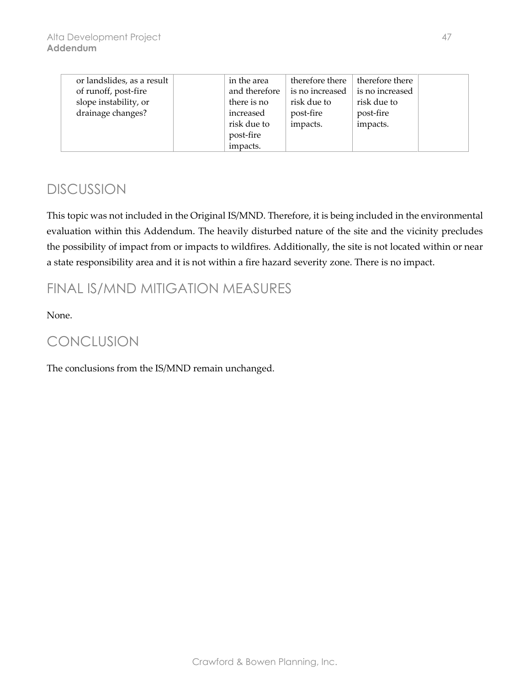| or landslides, as a result | in the area   | therefore there | therefore there |  |
|----------------------------|---------------|-----------------|-----------------|--|
| of runoff, post-fire       | and therefore | is no increased | is no increased |  |
| slope instability, or      | there is no   | risk due to     | risk due to     |  |
| drainage changes?          | increased     | post-fire       | post-fire       |  |
|                            | risk due to   | impacts.        | impacts.        |  |
|                            | post-fire     |                 |                 |  |
|                            | impacts.      |                 |                 |  |

This topic was not included in the Original IS/MND. Therefore, it is being included in the environmental evaluation within this Addendum. The heavily disturbed nature of the site and the vicinity precludes the possibility of impact from or impacts to wildfires. Additionally, the site is not located within or near a state responsibility area and it is not within a fire hazard severity zone. There is no impact.

### FINAL IS/MND MITIGATION MEASURES

None.

### CONCLUSION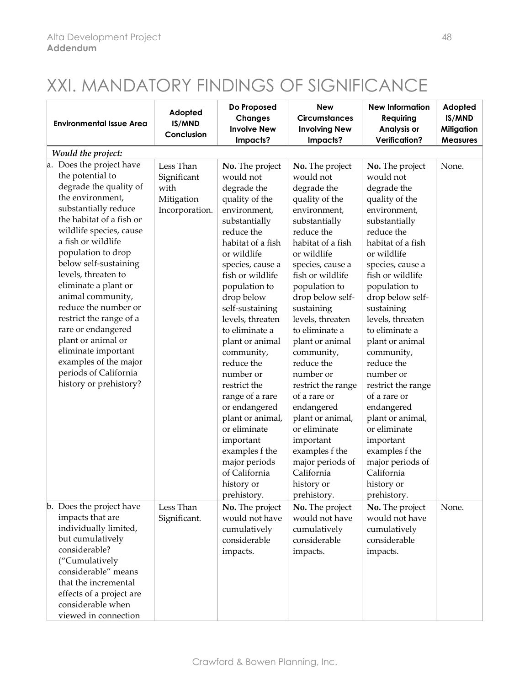# XXI. MANDATORY FINDINGS OF SIGNIFICANCE

| <b>Environmental Issue Area</b>                                                                                                                                                                                                                                                                                                                                                                                                                                                                                      | Adopted<br>IS/MND<br>Conclusion                                  | Do Proposed<br><b>Changes</b><br><b>Involve New</b><br>Impacts?                                                                                                                                                                                                                                                                                                                                                                                                                                                                    | <b>New</b><br><b>Circumstances</b><br><b>Involving New</b><br>Impacts?                                                                                                                                                                                                                                                                                                                                                                                                                                                              | <b>New Information</b><br>Requiring<br>Analysis or<br><b>Verification?</b>                                                                                                                                                                                                                                                                                                                                                                                                                                                          | Adopted<br>IS/MND<br><b>Mitigation</b><br><b>Measures</b> |
|----------------------------------------------------------------------------------------------------------------------------------------------------------------------------------------------------------------------------------------------------------------------------------------------------------------------------------------------------------------------------------------------------------------------------------------------------------------------------------------------------------------------|------------------------------------------------------------------|------------------------------------------------------------------------------------------------------------------------------------------------------------------------------------------------------------------------------------------------------------------------------------------------------------------------------------------------------------------------------------------------------------------------------------------------------------------------------------------------------------------------------------|-------------------------------------------------------------------------------------------------------------------------------------------------------------------------------------------------------------------------------------------------------------------------------------------------------------------------------------------------------------------------------------------------------------------------------------------------------------------------------------------------------------------------------------|-------------------------------------------------------------------------------------------------------------------------------------------------------------------------------------------------------------------------------------------------------------------------------------------------------------------------------------------------------------------------------------------------------------------------------------------------------------------------------------------------------------------------------------|-----------------------------------------------------------|
| Would the project:                                                                                                                                                                                                                                                                                                                                                                                                                                                                                                   |                                                                  |                                                                                                                                                                                                                                                                                                                                                                                                                                                                                                                                    |                                                                                                                                                                                                                                                                                                                                                                                                                                                                                                                                     |                                                                                                                                                                                                                                                                                                                                                                                                                                                                                                                                     |                                                           |
| a. Does the project have<br>the potential to<br>degrade the quality of<br>the environment,<br>substantially reduce<br>the habitat of a fish or<br>wildlife species, cause<br>a fish or wildlife<br>population to drop<br>below self-sustaining<br>levels, threaten to<br>eliminate a plant or<br>animal community,<br>reduce the number or<br>restrict the range of a<br>rare or endangered<br>plant or animal or<br>eliminate important<br>examples of the major<br>periods of California<br>history or prehistory? | Less Than<br>Significant<br>with<br>Mitigation<br>Incorporation. | No. The project<br>would not<br>degrade the<br>quality of the<br>environment,<br>substantially<br>reduce the<br>habitat of a fish<br>or wildlife<br>species, cause a<br>fish or wildlife<br>population to<br>drop below<br>self-sustaining<br>levels, threaten<br>to eliminate a<br>plant or animal<br>community,<br>reduce the<br>number or<br>restrict the<br>range of a rare<br>or endangered<br>plant or animal,<br>or eliminate<br>important<br>examples f the<br>major periods<br>of California<br>history or<br>prehistory. | No. The project<br>would not<br>degrade the<br>quality of the<br>environment,<br>substantially<br>reduce the<br>habitat of a fish<br>or wildlife<br>species, cause a<br>fish or wildlife<br>population to<br>drop below self-<br>sustaining<br>levels, threaten<br>to eliminate a<br>plant or animal<br>community,<br>reduce the<br>number or<br>restrict the range<br>of a rare or<br>endangered<br>plant or animal,<br>or eliminate<br>important<br>examples f the<br>major periods of<br>California<br>history or<br>prehistory. | No. The project<br>would not<br>degrade the<br>quality of the<br>environment,<br>substantially<br>reduce the<br>habitat of a fish<br>or wildlife<br>species, cause a<br>fish or wildlife<br>population to<br>drop below self-<br>sustaining<br>levels, threaten<br>to eliminate a<br>plant or animal<br>community,<br>reduce the<br>number or<br>restrict the range<br>of a rare or<br>endangered<br>plant or animal,<br>or eliminate<br>important<br>examples f the<br>major periods of<br>California<br>history or<br>prehistory. | None.                                                     |
| b. Does the project have<br>impacts that are<br>individually limited,<br>but cumulatively<br>considerable?<br>("Cumulatively<br>considerable" means<br>that the incremental<br>effects of a project are<br>considerable when<br>viewed in connection                                                                                                                                                                                                                                                                 | Less Than<br>Significant.                                        | No. The project<br>would not have<br>cumulatively<br>considerable<br>impacts.                                                                                                                                                                                                                                                                                                                                                                                                                                                      | No. The project<br>would not have<br>cumulatively<br>considerable<br>impacts.                                                                                                                                                                                                                                                                                                                                                                                                                                                       | No. The project<br>would not have<br>cumulatively<br>considerable<br>impacts.                                                                                                                                                                                                                                                                                                                                                                                                                                                       | None.                                                     |